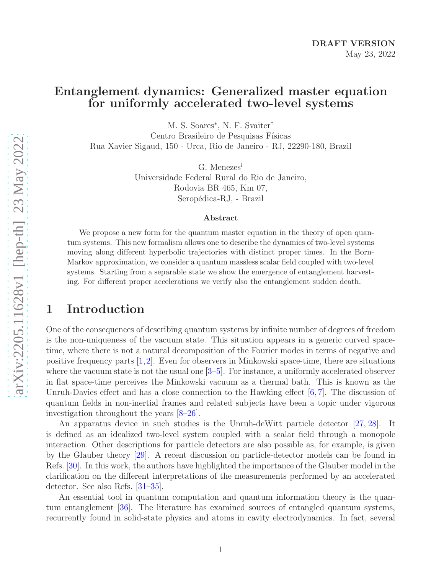## Entanglement dynamics: Generalized master equation for uniformly accelerated two-level systems

M. S. Soares<sup>∗</sup> , N. F. Svaiter†

Centro Brasileiro de Pesquisas Físicas Rua Xavier Sigaud, 150 - Urca, Rio de Janeiro - RJ, 22290-180, Brazil

> G. Menezes<sup>≀</sup> Universidade Federal Rural do Rio de Janeiro, Rodovia BR 465, Km 07, Seropédica-RJ, - Brazil

#### Abstract

We propose a new form for the quantum master equation in the theory of open quantum systems. This new formalism allows one to describe the dynamics of two-level systems moving along different hyperbolic trajectories with distinct proper times. In the Born-Markov approximation, we consider a quantum massless scalar field coupled with two-level systems. Starting from a separable state we show the emergence of entanglement harvesting. For different proper accelerations we verify also the entanglement sudden death.

### 1 Introduction

One of the consequences of describing quantum systems by infinite number of degrees of freedom is the non-uniqueness of the vacuum state. This situation appears in a generic curved spacetime, where there is not a natural decomposition of the Fourier modes in terms of negative and positive frequency parts  $[1,2]$  $[1,2]$ . Even for observers in Minkowski space-time, there are situations where the vacuum state is not the usual one [\[3](#page-21-2)[–5\]](#page-21-3). For instance, a uniformly accelerated observer in flat space-time perceives the Minkowski vacuum as a thermal bath. This is known as the Unruh-Davies effect and has a close connection to the Hawking effect  $[6, 7]$  $[6, 7]$ . The discussion of quantum fields in non-inertial frames and related subjects have been a topic under vigorous investigation throughout the years [\[8](#page-21-6)[–26\]](#page-23-0).

An apparatus device in such studies is the Unruh-deWitt particle detector [\[27,](#page-23-1) [28\]](#page-23-2). It is defined as an idealized two-level system coupled with a scalar field through a monopole interaction. Other descriptions for particle detectors are also possible as, for example, is given by the Glauber theory [\[29\]](#page-23-3). A recent discussion on particle-detector models can be found in Refs. [\[30\]](#page-23-4). In this work, the authors have highlighted the importance of the Glauber model in the clarification on the different interpretations of the measurements performed by an accelerated detector. See also Refs. [\[31–](#page-23-5)[35\]](#page-23-6).

An essential tool in quantum computation and quantum information theory is the quantum entanglement [\[36\]](#page-23-7). The literature has examined sources of entangled quantum systems, recurrently found in solid-state physics and atoms in cavity electrodynamics. In fact, several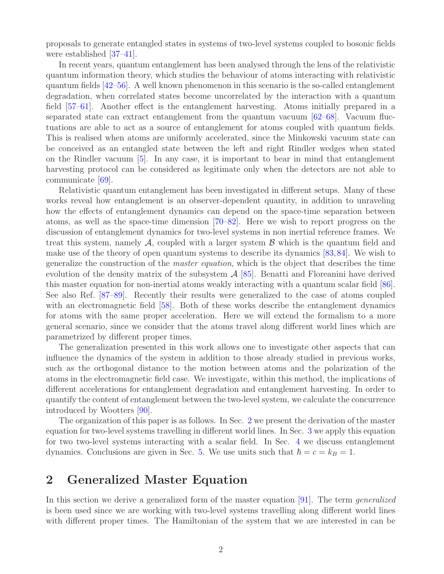proposals to generate entangled states in systems of two-level systems coupled to bosonic fields were established [\[37](#page-23-8)[–41\]](#page-23-9).

In recent years, quantum entanglement has been analysed through the lens of the relativistic quantum information theory, which studies the behaviour of atoms interacting with relativistic quantum fields [\[42–](#page-23-10)[56\]](#page-24-0). A well known phenomenon in this scenario is the so-called entanglement degradation, when correlated states become uncorrelated by the interaction with a quantum field [\[57](#page-24-1)[–61\]](#page-25-0). Another effect is the entanglement harvesting. Atoms initially prepared in a separated state can extract entanglement from the quantum vacuum [\[62–](#page-25-1)[68\]](#page-25-2). Vacuum fluctuations are able to act as a source of entanglement for atoms coupled with quantum fields. This is realised when atoms are uniformly accelerated, since the Minkowski vacuum state can be conceived as an entangled state between the left and right Rindler wedges when stated on the Rindler vacuum [\[5\]](#page-21-3). In any case, it is important to bear in mind that entanglement harvesting protocol can be considered as legitimate only when the detectors are not able to communicate [\[69\]](#page-25-3).

Relativistic quantum entanglement has been investigated in different setups. Many of these works reveal how entanglement is an observer-dependent quantity, in addition to unraveling how the effects of entanglement dynamics can depend on the space-time separation between atoms, as well as the space-time dimension [\[70](#page-25-4)[–82\]](#page-26-0). Here we wish to report progress on the discussion of entanglement dynamics for two-level systems in non inertial reference frames. We treat this system, namely  $A$ , coupled with a larger system  $B$  which is the quantum field and make use of the theory of open quantum systems to describe its dynamics [\[83,](#page-26-1)[84\]](#page-26-2). We wish to generalize the construction of the *master equation*, which is the object that describes the time evolution of the density matrix of the subsystem  $\mathcal{A}$  [\[85\]](#page-26-3). Benatti and Floreanini have derived this master equation for non-inertial atoms weakly interacting with a quantum scalar field [\[86\]](#page-26-4). See also Ref. [\[87](#page-26-5)[–89\]](#page-26-6). Recently their results were generalized to the case of atoms coupled with an electromagnetic field [\[58\]](#page-24-2). Both of these works describe the entanglement dynamics for atoms with the same proper acceleration. Here we will extend the formalism to a more general scenario, since we consider that the atoms travel along different world lines which are parametrized by different proper times.

The generalization presented in this work allows one to investigate other aspects that can influence the dynamics of the system in addition to those already studied in previous works, such as the orthogonal distance to the motion between atoms and the polarization of the atoms in the electromagnetic field case. We investigate, within this method, the implications of different accelerations for entanglement degradation and entanglement harvesting. In order to quantify the content of entanglement between the two-level system, we calculate the concurrence introduced by Wootters [\[90\]](#page-26-7).

The organization of this paper is as follows. In Sec. [2](#page-1-0) we present the derivation of the master equation for two-level systems travelling in different world lines. In Sec. [3](#page-6-0) we apply this equation for two two-level systems interacting with a scalar field. In Sec. [4](#page-10-0) we discuss entanglement dynamics. Conclusions are given in Sec. [5.](#page-15-0) We use units such that  $\hbar = c = k_B = 1$ .

## <span id="page-1-0"></span>2 Generalized Master Equation

In this section we derive a generalized form of the master equation [\[91\]](#page-26-8). The term *generalized* is been used since we are working with two-level systems travelling along different world lines with different proper times. The Hamiltonian of the system that we are interested in can be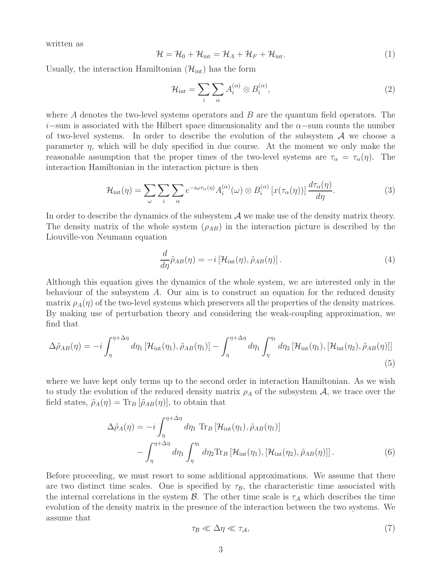written as

$$
\mathcal{H} = \mathcal{H}_0 + \mathcal{H}_{\text{int}} = \mathcal{H}_A + \mathcal{H}_F + \mathcal{H}_{\text{int}}.
$$
\n(1)

Usually, the interaction Hamiltonian  $(\mathcal{H}_{int})$  has the form

$$
\mathcal{H}_{\text{int}} = \sum_{i} \sum_{\alpha} A_i^{(\alpha)} \otimes B_i^{(\alpha)},\tag{2}
$$

where  $A$  denotes the two-level systems operators and  $B$  are the quantum field operators. The i–sum is associated with the Hilbert space dimensionality and the  $\alpha$ –sum counts the number of two-level systems. In order to describe the evolution of the subsystem  $\mathcal A$  we choose a parameter  $\eta$ , which will be duly specified in due course. At the moment we only make the reasonable assumption that the proper times of the two-level systems are  $\tau_{\alpha} = \tau_{\alpha}(\eta)$ . The interaction Hamiltonian in the interaction picture is then

$$
\mathcal{H}_{\text{int}}(\eta) = \sum_{\omega} \sum_{i} \sum_{\alpha} e^{-i\omega \tau_{\alpha}(\eta)} A_i^{(\alpha)}(\omega) \otimes B_i^{(\alpha)} \left[ x(\tau_{\alpha}(\eta)) \right] \frac{d\tau_{\alpha}(\eta)}{d\eta}.
$$
 (3)

In order to describe the dynamics of the subsystem  $A$  we make use of the density matrix theory. The density matrix of the whole system  $(\rho_{AB})$  in the interaction picture is described by the Liouville-von Neumann equation

<span id="page-2-1"></span>
$$
\frac{d}{d\eta}\tilde{\rho}_{AB}(\eta) = -i\left[\mathcal{H}_{\text{int}}(\eta), \tilde{\rho}_{AB}(\eta)\right].\tag{4}
$$

Although this equation gives the dynamics of the whole system, we are interested only in the behaviour of the subsystem  $A$ . Our aim is to construct an equation for the reduced density matrix  $\rho_A(\eta)$  of the two-level systems which preservers all the properties of the density matrices. By making use of perturbation theory and considering the weak-coupling approximation, we find that

$$
\Delta\tilde{\rho}_{AB}(\eta) = -i \int_{\eta}^{\eta + \Delta\eta} d\eta_1 \left[ \mathcal{H}_{\text{int}}(\eta_1), \tilde{\rho}_{AB}(\eta_1) \right] - \int_{\eta}^{\eta + \Delta\eta} d\eta_1 \int_{\eta}^{\eta_1} d\eta_2 \left[ \mathcal{H}_{\text{int}}(\eta_1), \left[ \mathcal{H}_{\text{int}}(\eta_2), \tilde{\rho}_{AB}(\eta) \right] \right]
$$
\n(5)

where we have kept only terms up to the second order in interaction Hamiltonian. As we wish to study the evolution of the reduced density matrix  $\rho_A$  of the subsystem  $\mathcal{A}$ , we trace over the field states,  $\tilde{\rho}_A(\eta) = \text{Tr}_B [\tilde{\rho}_{AB}(\eta)],$  to obtain that

$$
\Delta \tilde{\rho}_A(\eta) = -i \int_{\eta}^{\eta + \Delta \eta} d\eta_1 \operatorname{Tr}_B \left[ \mathcal{H}_{\text{int}}(\eta_1), \tilde{\rho}_{AB}(\eta_1) \right] \n- \int_{\eta}^{\eta + \Delta \eta} d\eta_1 \int_{\eta}^{\eta_1} d\eta_2 \operatorname{Tr}_B \left[ \mathcal{H}_{\text{int}}(\eta_1), \left[ \mathcal{H}_{\text{int}}(\eta_2), \tilde{\rho}_{AB}(\eta) \right] \right].
$$
\n(6)

Before proceeding, we must resort to some additional approximations. We assume that there are two distinct time scales. One is specified by  $\tau_B$ , the characteristic time associated with the internal correlations in the system  $\mathcal{B}$ . The other time scale is  $\tau_{\mathcal{A}}$  which describes the time evolution of the density matrix in the presence of the interaction between the two systems. We assume that

<span id="page-2-0"></span>
$$
\tau_{\mathcal{B}} \ll \Delta \eta \ll \tau_{\mathcal{A}},\tag{7}
$$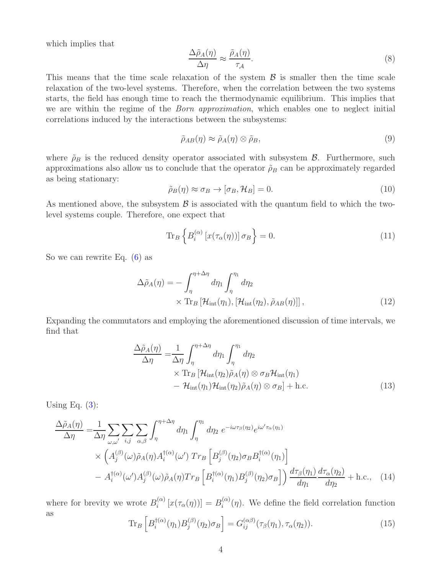which implies that

$$
\frac{\Delta \tilde{\rho}_A(\eta)}{\Delta \eta} \approx \frac{\tilde{\rho}_A(\eta)}{\tau_A}.
$$
\n(8)

This means that the time scale relaxation of the system  $\beta$  is smaller then the time scale relaxation of the two-level systems. Therefore, when the correlation between the two systems starts, the field has enough time to reach the thermodynamic equilibrium. This implies that we are within the regime of the *Born approximation*, which enables one to neglect initial correlations induced by the interactions between the subsystems:

$$
\tilde{\rho}_{AB}(\eta) \approx \tilde{\rho}_A(\eta) \otimes \tilde{\rho}_B,\tag{9}
$$

where  $\rho_B$  is the reduced density operator associated with subsystem  $\beta$ . Furthermore, such approximations also allow us to conclude that the operator  $\rho_B$  can be approximately regarded as being stationary:

$$
\tilde{\rho}_B(\eta) \approx \sigma_B \to [\sigma_B, \mathcal{H}_B] = 0. \tag{10}
$$

As mentioned above, the subsystem  $\beta$  is associated with the quantum field to which the twolevel systems couple. Therefore, one expect that

$$
\operatorname{Tr}_B \left\{ B_i^{(\alpha)} \left[ x(\tau_\alpha(\eta)) \right] \sigma_B \right\} = 0. \tag{11}
$$

So we can rewrite Eq. [\(6\)](#page-2-0) as

$$
\Delta \tilde{\rho}_A(\eta) = -\int_{\eta}^{\eta + \Delta \eta} d\eta_1 \int_{\eta}^{\eta_1} d\eta_2
$$
  
× Tr<sub>B</sub> [ $\mathcal{H}_{int}(\eta_1)$ , [ $\mathcal{H}_{int}(\eta_2)$ ,  $\tilde{\rho}_{AB}(\eta)$ ]], (12)

Expanding the commutators and employing the aforementioned discussion of time intervals, we find that

$$
\frac{\Delta\tilde{\rho}_A(\eta)}{\Delta\eta} = \frac{1}{\Delta\eta} \int_{\eta}^{\eta+\Delta\eta} d\eta_1 \int_{\eta}^{\eta_1} d\eta_2
$$
  
× Tr<sub>B</sub> [ $\mathcal{H}_{int}(\eta_2)\tilde{\rho}_A(\eta) \otimes \sigma_B \mathcal{H}_{int}(\eta_1)$   
–  $\mathcal{H}_{int}(\eta_1) \mathcal{H}_{int}(\eta_2)\tilde{\rho}_A(\eta) \otimes \sigma_B$ ] + h.c. (13)

Using Eq.  $(3)$ :

$$
\frac{\Delta\tilde{\rho}_A(\eta)}{\Delta\eta} = \frac{1}{\Delta\eta} \sum_{\omega,\omega'} \sum_{i,j} \sum_{\alpha,\beta} \int_{\eta}^{\eta+\Delta\eta} d\eta_1 \int_{\eta}^{\eta_1} d\eta_2 \ e^{-i\omega\tau_{\beta}(\eta_2)} e^{i\omega'\tau_{\alpha}(\eta_1)} \times \left( A_j^{(\beta)}(\omega) \tilde{\rho}_A(\eta) A_i^{(\alpha)}(\omega') \ Tr_B \left[ B_j^{(\beta)}(\eta_2) \sigma_B B_i^{(\alpha)}(\eta_1) \right] \n- A_i^{(\alpha)}(\omega') A_j^{(\beta)}(\omega) \tilde{\rho}_A(\eta) Tr_B \left[ B_i^{(\alpha)}(\eta_1) B_j^{(\beta)}(\eta_2) \sigma_B \right] \right) \frac{d\tau_{\beta}(\eta_1)}{d\eta_1} \frac{d\tau_{\alpha}(\eta_2)}{d\eta_2} + \text{h.c.}, \quad (14)
$$

where for brevity we wrote  $B_i^{(\alpha)}$  $\int_i^{(\alpha)} [x(\tau_\alpha(\eta))] = B_i^{(\alpha)}$  $\binom{\alpha}{i}(\eta)$ . We define the field correlation function as

$$
\operatorname{Tr}_B \left[ B_i^{\dagger(\alpha)}(\eta_1) B_j^{(\beta)}(\eta_2) \sigma_B \right] = G_{ij}^{(\alpha\beta)}(\tau_\beta(\eta_1), \tau_\alpha(\eta_2)). \tag{15}
$$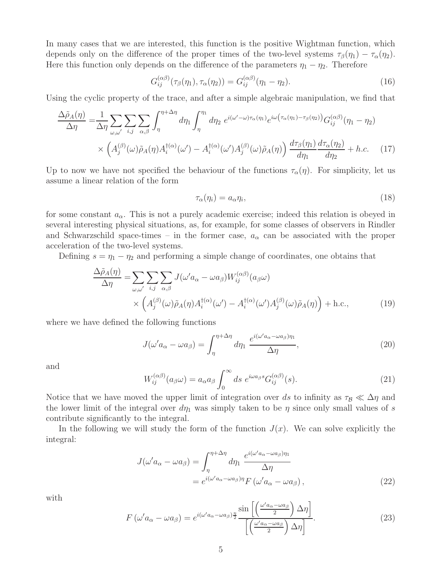In many cases that we are interested, this function is the positive Wightman function, which depends only on the difference of the proper times of the two-level systems  $\tau_\beta(\eta_1) - \tau_\alpha(\eta_2)$ . Here this function only depends on the difference of the parameters  $\eta_1 - \eta_2$ . Therefore

$$
G_{ij}^{(\alpha\beta)}(\tau_{\beta}(\eta_1), \tau_{\alpha}(\eta_2)) = G_{ij}^{(\alpha\beta)}(\eta_1 - \eta_2).
$$
 (16)

Using the cyclic property of the trace, and after a simple algebraic manipulation, we find that

$$
\frac{\Delta\tilde{\rho}_A(\eta)}{\Delta\eta} = \frac{1}{\Delta\eta} \sum_{\omega,\omega'} \sum_{i,j} \sum_{\alpha,\beta} \int_{\eta}^{\eta+\Delta\eta} d\eta_1 \int_{\eta}^{\eta_1} d\eta_2 \ e^{i(\omega'-\omega)\tau_{\alpha}(\eta_1)} e^{i\omega(\tau_{\alpha}(\eta_1)-\tau_{\beta}(\eta_2))} G^{(\alpha\beta)}_{ij}(\eta_1-\eta_2)
$$

$$
\times \left(A_j^{(\beta)}(\omega)\tilde{\rho}_A(\eta)A_i^{(\alpha)}(\omega') - A_i^{(\alpha)}(\omega')A_j^{(\beta)}(\omega)\tilde{\rho}_A(\eta)\right) \frac{d\tau_{\beta}(\eta_1)}{d\eta_1} \frac{d\tau_{\alpha}(\eta_2)}{d\eta_2} + h.c. \quad (17)
$$

Up to now we have not specified the behaviour of the functions  $\tau_{\alpha}(\eta)$ . For simplicity, let us assume a linear relation of the form

<span id="page-4-1"></span><span id="page-4-0"></span>
$$
\tau_{\alpha}(\eta_i) = a_{\alpha}\eta_i,\tag{18}
$$

for some constant  $a_{\alpha}$ . This is not a purely academic exercise; indeed this relation is obeyed in several interesting physical situations, as, for example, for some classes of observers in Rindler and Schwarzschild space-times – in the former case,  $a_{\alpha}$  can be associated with the proper acceleration of the two-level systems.

Defining  $s = \eta_1 - \eta_2$  and performing a simple change of coordinates, one obtains that

$$
\frac{\Delta\tilde{\rho}_A(\eta)}{\Delta\eta} = \sum_{\omega,\omega'} \sum_{i,j} \sum_{\alpha,\beta} J(\omega' a_{\alpha} - \omega a_{\beta}) W_{ij}^{(\alpha\beta)}(a_{\beta}\omega) \times \left( A_j^{(\beta)}(\omega) \tilde{\rho}_A(\eta) A_i^{\dagger(\alpha)}(\omega') - A_i^{\dagger(\alpha)}(\omega') A_j^{(\beta)}(\omega) \tilde{\rho}_A(\eta) \right) + \text{h.c.},
$$
\n(19)

where we have defined the following functions

$$
J(\omega' a_{\alpha} - \omega a_{\beta}) = \int_{\eta}^{\eta + \Delta \eta} d\eta_1 \; \frac{e^{i(\omega' a_{\alpha} - \omega a_{\beta})\eta_1}}{\Delta \eta},\tag{20}
$$

and

<span id="page-4-2"></span>
$$
W_{ij}^{(\alpha\beta)}(a_{\beta}\omega) = a_{\alpha}a_{\beta} \int_0^{\infty} ds \ e^{i\omega a_{\beta}s} G_{ij}^{(\alpha\beta)}(s).
$$
 (21)

Notice that we have moved the upper limit of integration over ds to infinity as  $\tau_B \ll \Delta \eta$  and the lower limit of the integral over  $d\eta_1$  was simply taken to be  $\eta$  since only small values of s contribute significantly to the integral.

In the following we will study the form of the function  $J(x)$ . We can solve explicitly the integral:

$$
J(\omega' a_{\alpha} - \omega a_{\beta}) = \int_{\eta}^{\eta + \Delta \eta} d\eta_1 \frac{e^{i(\omega' a_{\alpha} - \omega a_{\beta})\eta_1}}{\Delta \eta}
$$
  
=  $e^{i(\omega' a_{\alpha} - \omega a_{\beta})\eta} F(\omega' a_{\alpha} - \omega a_{\beta}),$  (22)

with

$$
F(\omega' a_{\alpha} - \omega a_{\beta}) = e^{i(\omega' a_{\alpha} - \omega a_{\beta})\frac{\eta}{2}} \frac{\sin\left[\left(\frac{\omega' a_{\alpha} - \omega a_{\beta}}{2}\right) \Delta \eta\right]}{\left[\left(\frac{\omega' a_{\alpha} - \omega a_{\beta}}{2}\right) \Delta \eta\right]}.
$$
\n(23)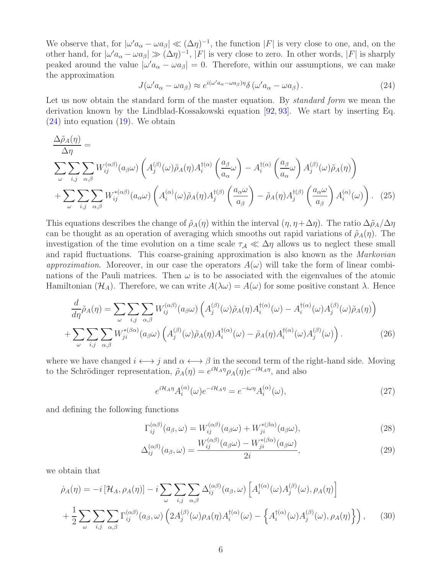We observe that, for  $|\omega' a_{\alpha} - \omega a_{\beta}| \ll (\Delta \eta)^{-1}$ , the function  $|F|$  is very close to one, and, on the other hand, for  $|\omega' a_{\alpha} - \omega a_{\beta}| \gg (\Delta \eta)^{-1}$ , |F| is very close to zero. In other words, |F| is sharply peaked around the value  $|\omega' a_{\alpha} - \omega a_{\beta}| = 0$ . Therefore, within our assumptions, we can make the approximation

<span id="page-5-0"></span>
$$
J(\omega' a_{\alpha} - \omega a_{\beta}) \approx e^{i(\omega' a_{\alpha} - \omega a_{\beta})\eta} \delta(\omega' a_{\alpha} - \omega a_{\beta}). \tag{24}
$$

Let us now obtain the standard form of the master equation. By *standard form* we mean the derivation known by the Lindblad-Kossakowski equation [\[92,](#page-26-9) [93\]](#page-26-10). We start by inserting Eq. [\(24\)](#page-5-0) into equation [\(19\)](#page-4-0). We obtain

$$
\frac{\Delta\tilde{\rho}_{A}(\eta)}{\Delta\eta} = \sum_{\omega} \sum_{i,j} \sum_{\alpha,\beta} W_{ij}^{(\alpha\beta)}(a_{\beta}\omega) \left( A_{j}^{(\beta)}(\omega)\tilde{\rho}_{A}(\eta) A_{i}^{\dagger(\alpha)} \left( \frac{a_{\beta}}{a_{\alpha}}\omega \right) - A_{i}^{\dagger(\alpha)} \left( \frac{a_{\beta}}{a_{\alpha}}\omega \right) A_{j}^{(\beta)}(\omega)\tilde{\rho}_{A}(\eta) \right) \right) + \sum_{\omega} \sum_{i,j} \sum_{\alpha,\beta} W_{ij}^{*(\alpha\beta)}(a_{\alpha}\omega) \left( A_{i}^{(\alpha)}(\omega)\tilde{\rho}_{A}(\eta) A_{j}^{\dagger(\beta)} \left( \frac{a_{\alpha}\omega}{a_{\beta}} \right) - \tilde{\rho}_{A}(\eta) A_{j}^{\dagger(\beta)} \left( \frac{a_{\alpha}\omega}{a_{\beta}} \right) A_{i}^{(\alpha)}(\omega) \right). (25)
$$

This equations describes the change of  $\tilde{\rho}_A(\eta)$  within the interval  $(\eta, \eta + \Delta \eta)$ . The ratio  $\Delta \tilde{\rho}_A/\Delta \eta$ can be thought as an operation of averaging which smooths out rapid variations of  $\tilde{\rho}_A(\eta)$ . The investigation of the time evolution on a time scale  $\tau_A \ll \Delta \eta$  allows us to neglect these small and rapid fluctuations. This coarse-graining approximation is also known as the *Markovian approximation*. Moreover, in our case the operators  $A(\omega)$  will take the form of linear combinations of the Pauli matrices. Then  $\omega$  is to be associated with the eigenvalues of the atomic Hamiltonian  $(\mathcal{H}_A)$ . Therefore, we can write  $A(\lambda \omega) = A(\omega)$  for some positive constant  $\lambda$ . Hence

$$
\frac{d}{d\eta}\tilde{\rho}_A(\eta) = \sum_{\omega} \sum_{i,j} \sum_{\alpha,\beta} W_{ij}^{(\alpha\beta)}(a_{\beta}\omega) \left( A_j^{(\beta)}(\omega)\tilde{\rho}_A(\eta) A_i^{\dagger(\alpha)}(\omega) - A_i^{\dagger(\alpha)}(\omega) A_j^{(\beta)}(\omega)\tilde{\rho}_A(\eta) \right) + \sum_{\omega} \sum_{i,j} \sum_{\alpha,\beta} W_{ji}^{*(\beta\alpha)}(a_{\beta}\omega) \left( A_j^{(\beta)}(\omega)\tilde{\rho}_A(\eta) A_i^{\dagger(\alpha)}(\omega) - \tilde{\rho}_A(\eta) A_i^{\dagger(\alpha)}(\omega) A_j^{(\beta)}(\omega) \right).
$$
(26)

where we have changed  $i \leftrightarrow j$  and  $\alpha \leftrightarrow \beta$  in the second term of the right-hand side. Moving to the Schrödinger representation,  $\tilde{\rho}_A(\eta) = e^{i\mathcal{H}_A\eta} \rho_A(\eta) e^{-i\mathcal{H}_A\eta}$ , and also

<span id="page-5-2"></span><span id="page-5-1"></span>
$$
e^{i\mathcal{H}_A\eta}A_i^{(\alpha)}(\omega)e^{-i\mathcal{H}_A\eta} = e^{-i\omega\eta}A_i^{(\alpha)}(\omega),\tag{27}
$$

and defining the following functions

$$
\Gamma_{ij}^{(\alpha\beta)}(a_{\beta},\omega) = W_{ij}^{(\alpha\beta)}(a_{\beta}\omega) + W_{ji}^{*(\beta\alpha)}(a_{\beta}\omega),\tag{28}
$$

$$
\Delta_{ij}^{(\alpha\beta)}(a_{\beta},\omega) = \frac{W_{ij}^{(\alpha\beta)}(a_{\beta}\omega) - W_{ji}^{*(\beta\alpha)}(a_{\beta}\omega)}{2i},\tag{29}
$$

we obtain that

$$
\dot{\rho}_A(\eta) = -i \left[ \mathcal{H}_A, \rho_A(\eta) \right] - i \sum_{\omega} \sum_{i,j} \sum_{\alpha,\beta} \Delta_{ij}^{(\alpha\beta)}(a_{\beta}, \omega) \left[ A_i^{\dagger(\alpha)}(\omega) A_j^{(\beta)}(\omega), \rho_A(\eta) \right] + \frac{1}{2} \sum_{\omega} \sum_{i,j} \sum_{\alpha,\beta} \Gamma_{ij}^{(\alpha\beta)}(a_{\beta}, \omega) \left( 2 A_j^{(\beta)}(\omega) \rho_A(\eta) A_i^{\dagger(\alpha)}(\omega) - \left\{ A_i^{\dagger(\alpha)}(\omega) A_j^{(\beta)}(\omega), \rho_A(\eta) \right\} \right), \quad (30)
$$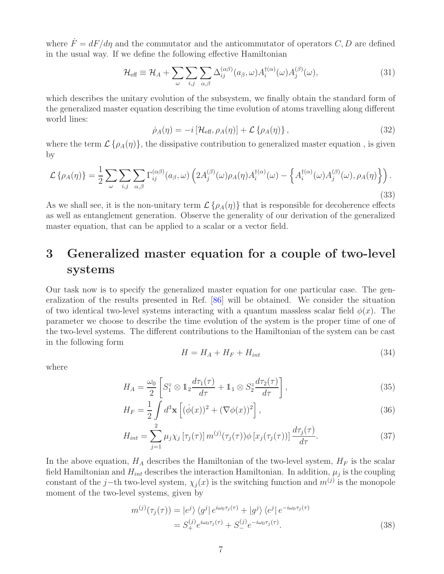where  $\dot{F} = dF/d\eta$  and the commutator and the anticommutator of operators C, D are defined in the usual way. If we define the following effective Hamiltonian

$$
\mathcal{H}_{\text{eff}} \equiv \mathcal{H}_A + \sum_{\omega} \sum_{i,j} \sum_{\alpha,\beta} \Delta_{ij}^{(\alpha\beta)}(a_{\beta}, \omega) A_i^{\dagger(\alpha)}(\omega) A_j^{(\beta)}(\omega), \tag{31}
$$

which describes the unitary evolution of the subsystem, we finally obtain the standard form of the generalized master equation describing the time evolution of atoms travelling along different world lines:

$$
\dot{\rho}_A(\eta) = -i \left[ \mathcal{H}_{\text{eff}}, \rho_A(\eta) \right] + \mathcal{L} \left\{ \rho_A(\eta) \right\},\tag{32}
$$

where the term  $\mathcal{L}\{\rho_A(\eta)\}\,$ , the dissipative contribution to generalized master equation, is given by

$$
\mathcal{L}\left\{\rho_A(\eta)\right\} = \frac{1}{2} \sum_{\omega} \sum_{i,j} \sum_{\alpha,\beta} \Gamma_{ij}^{(\alpha\beta)}(a_{\beta},\omega) \left(2A_j^{(\beta)}(\omega)\rho_A(\eta)A_i^{(\alpha)}(\omega) - \left\{A_i^{(\alpha)}(\omega)A_j^{(\beta)}(\omega),\rho_A(\eta)\right\}\right). \tag{33}
$$

As we shall see, it is the non-unitary term  $\mathcal{L}\{\rho_A(\eta)\}\$  that is responsible for decoherence effects as well as entanglement generation. Observe the generality of our derivation of the generalized master equation, that can be applied to a scalar or a vector field.

## <span id="page-6-0"></span>3 Generalized master equation for a couple of two-level systems

Our task now is to specify the generalized master equation for one particular case. The generalization of the results presented in Ref. [\[86\]](#page-26-4) will be obtained. We consider the situation of two identical two-level systems interacting with a quantum massless scalar field  $\phi(x)$ . The parameter we choose to describe the time evolution of the system is the proper time of one of the two-level systems. The different contributions to the Hamiltonian of the system can be cast in the following form

$$
H = H_A + H_F + H_{int} \tag{34}
$$

where

$$
H_A = \frac{\omega_0}{2} \left[ S_1^z \otimes \mathbb{1}_2 \frac{d\tau_1(\tau)}{d\tau} + \mathbb{1}_1 \otimes S_2^z \frac{d\tau_2(\tau)}{d\tau} \right],\tag{35}
$$

$$
H_F = \frac{1}{2} \int d^3 \mathbf{x} \left[ (\dot{\phi}(x))^2 + (\nabla \phi(x))^2 \right],\tag{36}
$$

$$
H_{int} = \sum_{j=1}^{2} \mu_j \chi_j \left[ \tau_j(\tau) \right] m^{(j)}(\tau_j(\tau)) \phi \left[ x_j(\tau_j(\tau)) \right] \frac{d\tau_j(\tau)}{d\tau}.
$$
 (37)

In the above equation,  $H_A$  describes the Hamiltonian of the two-level system,  $H_F$  is the scalar field Hamiltonian and  $H_{int}$  describes the interaction Hamiltonian. In addition,  $\mu_j$  is the coupling constant of the j−th two-level system,  $\chi_j(x)$  is the switching function and  $m^{(j)}$  is the monopole moment of the two-level systems, given by

$$
m^{(j)}(\tau_j(\tau)) = |e^j\rangle \langle g^j| e^{i\omega_0 \tau_j(\tau)} + |g^j\rangle \langle e^j| e^{-i\omega_0 \tau_j(\tau)}
$$
  
=  $S_+^{(j)} e^{i\omega_0 \tau_j(\tau)} + S_-^{(j)} e^{-i\omega_0 \tau_j(\tau)}$ . (38)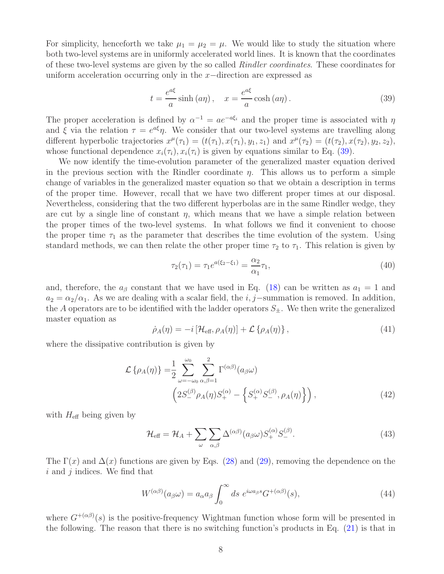For simplicity, henceforth we take  $\mu_1 = \mu_2 = \mu$ . We would like to study the situation where both two-level systems are in uniformly accelerated world lines. It is known that the coordinates of these two-level systems are given by the so called *Rindler coordinates*. These coordinates for uniform acceleration occurring only in the x−direction are expressed as

<span id="page-7-0"></span>
$$
t = \frac{e^{a\xi}}{a}\sinh\left(a\eta\right), \quad x = \frac{e^{a\xi}}{a}\cosh\left(a\eta\right). \tag{39}
$$

The proper acceleration is defined by  $\alpha^{-1} = a e^{-a \xi_i}$  and the proper time is associated with  $\eta$ and  $\xi$  via the relation  $\tau = e^{a\xi}\eta$ . We consider that our two-level systems are travelling along different hyperbolic trajectories  $x^{\mu}(\tau_1) = (t(\tau_1), x(\tau_1), y_1, z_1)$  and  $x^{\mu}(\tau_2) = (t(\tau_2), x(\tau_2), y_2, z_2)$ , whose functional dependence  $x_i(\tau_i)$ ,  $x_i(\tau_i)$  is given by equations similar to Eq. [\(39\)](#page-7-0).

We now identify the time-evolution parameter of the generalized master equation derived in the previous section with the Rindler coordinate  $\eta$ . This allows us to perform a simple change of variables in the generalized master equation so that we obtain a description in terms of the proper time. However, recall that we have two different proper times at our disposal. Nevertheless, considering that the two different hyperbolas are in the same Rindler wedge, they are cut by a single line of constant  $\eta$ , which means that we have a simple relation between the proper times of the two-level systems. In what follows we find it convenient to choose the proper time  $\tau_1$  as the parameter that describes the time evolution of the system. Using standard methods, we can then relate the other proper time  $\tau_2$  to  $\tau_1$ . This relation is given by

$$
\tau_2(\tau_1) = \tau_1 e^{a(\xi_2 - \xi_1)} = \frac{\alpha_2}{\alpha_1} \tau_1,\tag{40}
$$

and, therefore, the  $a_{\beta}$  constant that we have used in Eq. [\(18\)](#page-4-1) can be written as  $a_1 = 1$  and  $a_2 = \alpha_2/\alpha_1$ . As we are dealing with a scalar field, the i, j–summation is removed. In addition, the A operators are to be identified with the ladder operators  $S_{\pm}$ . We then write the generalized master equation as

<span id="page-7-1"></span>
$$
\dot{\rho}_A(\eta) = -i \left[ \mathcal{H}_{\text{eff}}, \rho_A(\eta) \right] + \mathcal{L} \left\{ \rho_A(\eta) \right\},\tag{41}
$$

where the dissipative contribution is given by

$$
\mathcal{L}\{\rho_A(\eta)\} = \frac{1}{2} \sum_{\omega=-\omega_0}^{\omega_0} \sum_{\alpha,\beta=1}^2 \Gamma^{(\alpha\beta)}(a_{\beta}\omega) \n\left(2S^{(\beta)}_{-} \rho_A(\eta)S^{(\alpha)}_{+} - \left\{S^{(\alpha)}_{+} S^{(\beta)}_{-}, \rho_A(\eta)\right\}\right),
$$
\n(42)

with  $H_{\text{eff}}$  being given by

<span id="page-7-2"></span>
$$
\mathcal{H}_{\text{eff}} = \mathcal{H}_A + \sum_{\omega} \sum_{\alpha,\beta} \Delta^{(\alpha\beta)}(a_{\beta}\omega) S_+^{(\alpha)} S_-^{(\beta)}.
$$
 (43)

The  $\Gamma(x)$  and  $\Delta(x)$  functions are given by Eqs. [\(28\)](#page-5-1) and [\(29\)](#page-5-2), removing the dependence on the  $i$  and  $j$  indices. We find that

<span id="page-7-3"></span>
$$
W^{(\alpha\beta)}(a_{\beta}\omega) = a_{\alpha}a_{\beta} \int_0^{\infty} ds \ e^{i\omega a_{\beta}s} G^{+(\alpha\beta)}(s), \tag{44}
$$

where  $G^{+(\alpha\beta)}(s)$  is the positive-frequency Wightman function whose form will be presented in the following. The reason that there is no switching function's products in Eq. [\(21\)](#page-4-2) is that in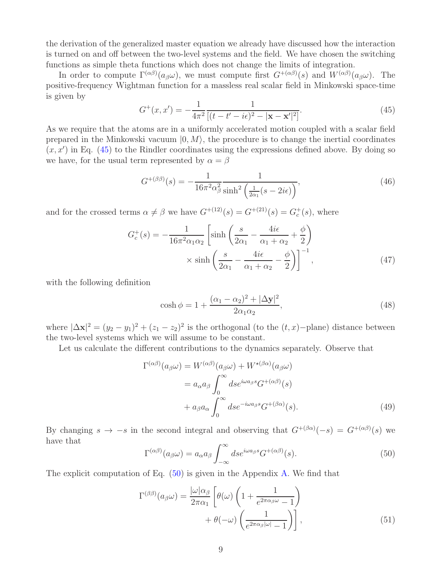the derivation of the generalized master equation we already have discussed how the interaction is turned on and off between the two-level systems and the field. We have chosen the switching functions as simple theta functions which does not change the limits of integration.

In order to compute  $\Gamma^{(\alpha\beta)}(a_{\beta}\omega)$ , we must compute first  $G^{+(\alpha\beta)}(s)$  and  $W^{(\alpha\beta)}(a_{\beta}\omega)$ . The positive-frequency Wightman function for a massless real scalar field in Minkowski space-time is given by

<span id="page-8-0"></span>
$$
G^{+}(x, x') = -\frac{1}{4\pi^{2}} \frac{1}{[(t - t' - i\epsilon)^{2} - |\mathbf{x} - \mathbf{x}'|^{2}]}.
$$
\n(45)

As we require that the atoms are in a uniformly accelerated motion coupled with a scalar field prepared in the Minkowski vacuum  $|0, M\rangle$ , the procedure is to change the inertial coordinates  $(x, x')$  in Eq. [\(45\)](#page-8-0) to the Rindler coordinates using the expressions defined above. By doing so we have, for the usual term represented by  $\alpha = \beta$ 

<span id="page-8-4"></span>
$$
G^{+(\beta\beta)}(s) = -\frac{1}{16\pi^2\alpha_\beta^2} \frac{1}{\sinh^2\left(\frac{1}{2\alpha_1}(s-2i\epsilon)\right)},\tag{46}
$$

and for the crossed terms  $\alpha \neq \beta$  we have  $G^{+(12)}(s) = G^{+(21)}(s) = G_c^+(s)$ , where

$$
G_c^+(s) = -\frac{1}{16\pi^2 \alpha_1 \alpha_2} \left[ \sinh\left(\frac{s}{2\alpha_1} - \frac{4i\epsilon}{\alpha_1 + \alpha_2} + \frac{\phi}{2}\right) \right.\n\times \sinh\left(\frac{s}{2\alpha_1} - \frac{4i\epsilon}{\alpha_1 + \alpha_2} - \frac{\phi}{2}\right) \right]^{-1},
$$
\n(47)

with the following definition

<span id="page-8-5"></span>
$$
\cosh \phi = 1 + \frac{(\alpha_1 - \alpha_2)^2 + |\Delta \mathbf{y}|^2}{2\alpha_1 \alpha_2},\tag{48}
$$

where  $|\Delta \mathbf{x}|^2 = (y_2 - y_1)^2 + (z_1 - z_2)^2$  is the orthogonal (to the  $(t, x)$ -plane) distance between the two-level systems which we will assume to be constant.

Let us calculate the different contributions to the dynamics separately. Observe that

<span id="page-8-3"></span>
$$
\Gamma^{(\alpha\beta)}(a_{\beta}\omega) = W^{(\alpha\beta)}(a_{\beta}\omega) + W^{\star(\beta\alpha)}(a_{\beta}\omega)
$$
  
=  $a_{\alpha}a_{\beta} \int_0^{\infty} ds e^{i\omega a_{\beta}s} G^{+(\alpha\beta)}(s)$   
+  $a_{\beta}a_{\alpha} \int_0^{\infty} ds e^{-i\omega a_{\beta}s} G^{+(\beta\alpha)}(s).$  (49)

By changing  $s \to -s$  in the second integral and observing that  $G^{+(\beta\alpha)}(-s) = G^{+(\alpha\beta)}(s)$  we have that

<span id="page-8-1"></span>
$$
\Gamma^{(\alpha\beta)}(a_{\beta}\omega) = a_{\alpha}a_{\beta} \int_{-\infty}^{\infty} ds e^{i\omega a_{\beta}s} G^{+(\alpha\beta)}(s).
$$
 (50)

The explicit computation of Eq. [\(50\)](#page-8-1) is given in the Appendix [A.](#page-16-0) We find that

<span id="page-8-2"></span>
$$
\Gamma^{(\beta\beta)}(a_{\beta}\omega) = \frac{|\omega|\alpha_{\beta}}{2\pi\alpha_1} \left[ \theta(\omega) \left( 1 + \frac{1}{e^{2\pi\alpha_{\beta}\omega} - 1} \right) + \theta(-\omega) \left( \frac{1}{e^{2\pi\alpha_{\beta}|\omega|} - 1} \right) \right],
$$
\n(51)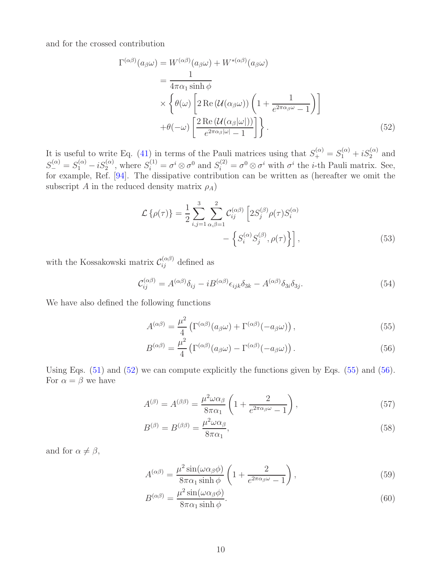and for the crossed contribution

$$
\Gamma^{(\alpha\beta)}(a_{\beta}\omega) = W^{(\alpha\beta)}(a_{\beta}\omega) + W^{*(\alpha\beta)}(a_{\beta}\omega)
$$
  
\n
$$
= \frac{1}{4\pi\alpha_1 \sinh \phi}
$$
  
\n
$$
\times \left\{ \theta(\omega) \left[ 2 \operatorname{Re} (\mathcal{U}(\alpha_{\beta}\omega)) \left( 1 + \frac{1}{e^{2\pi\alpha_{\beta}\omega} - 1} \right) \right] + \theta(-\omega) \left[ \frac{2 \operatorname{Re} (\mathcal{U}(\alpha_{\beta}|\omega|))}{e^{2\pi\alpha_{\beta}|\omega|} - 1} \right] \right\}.
$$
 (52)

It is useful to write Eq. [\(41\)](#page-7-1) in terms of the Pauli matrices using that  $S_+^{(\alpha)} = S_1^{(\alpha)} + iS_2^{(\alpha)}$  and  $S_{-}^{(\alpha)} = S_{1}^{(\alpha)} - iS_{2}^{(\alpha)}$ , where  $S_{i}^{(1)} = \sigma^{i} \otimes \sigma^{0}$  and  $S_{i}^{(2)} = \sigma^{0} \otimes \sigma^{i}$  with  $\sigma^{i}$  the *i*-th Pauli matrix. See, for example, Ref. [\[94\]](#page-27-0). The dissipative contribution can be written as (hereafter we omit the subscript A in the reduced density matrix  $\rho_A$ )

<span id="page-9-3"></span><span id="page-9-0"></span>
$$
\mathcal{L}\left\{\rho(\tau)\right\} = \frac{1}{2} \sum_{i,j=1}^{3} \sum_{\alpha,\beta=1}^{2} \mathcal{C}_{ij}^{(\alpha\beta)} \left[2S_{j}^{(\beta)}\rho(\tau)S_{i}^{(\alpha)}\right] - \left\{S_{i}^{(\alpha)}S_{j}^{(\beta)},\rho(\tau)\right\}\right],\tag{53}
$$

with the Kossakowski matrix  $\mathcal{C}_{ij}^{(\alpha\beta)}$  defined as

$$
\mathcal{C}_{ij}^{(\alpha\beta)} = A^{(\alpha\beta)}\delta_{ij} - iB^{(\alpha\beta)}\epsilon_{ijk}\delta_{3k} - A^{(\alpha\beta)}\delta_{3i}\delta_{3j}.\tag{54}
$$

We have also defined the following functions

<span id="page-9-1"></span>
$$
A^{(\alpha\beta)} = \frac{\mu^2}{4} \left( \Gamma^{(\alpha\beta)}(a_{\beta}\omega) + \Gamma^{(\alpha\beta)}(-a_{\beta}\omega) \right),\tag{55}
$$

<span id="page-9-2"></span>
$$
B^{(\alpha\beta)} = \frac{\mu^2}{4} \left( \Gamma^{(\alpha\beta)}(a_{\beta}\omega) - \Gamma^{(\alpha\beta)}(-a_{\beta}\omega) \right). \tag{56}
$$

Using Eqs. [\(51\)](#page-8-2) and [\(52\)](#page-9-0) we can compute explicitly the functions given by Eqs. [\(55\)](#page-9-1) and [\(56\)](#page-9-2). For  $\alpha = \beta$  we have

$$
A^{(\beta)} = A^{(\beta\beta)} = \frac{\mu^2 \omega \alpha_\beta}{8\pi \alpha_1} \left( 1 + \frac{2}{e^{2\pi \alpha_\beta \omega} - 1} \right),\tag{57}
$$

$$
B^{(\beta)} = B^{(\beta\beta)} = \frac{\mu^2 \omega \alpha_\beta}{8\pi \alpha_1},\tag{58}
$$

and for  $\alpha \neq \beta$ ,

$$
A^{(\alpha\beta)} = \frac{\mu^2 \sin(\omega\alpha_\beta\phi)}{8\pi\alpha_1 \sinh\phi} \left(1 + \frac{2}{e^{2\pi\alpha_\beta\omega} - 1}\right),\tag{59}
$$

$$
B^{(\alpha\beta)} = \frac{\mu^2 \sin(\omega \alpha_\beta \phi)}{8\pi \alpha_1 \sinh \phi}.
$$
\n(60)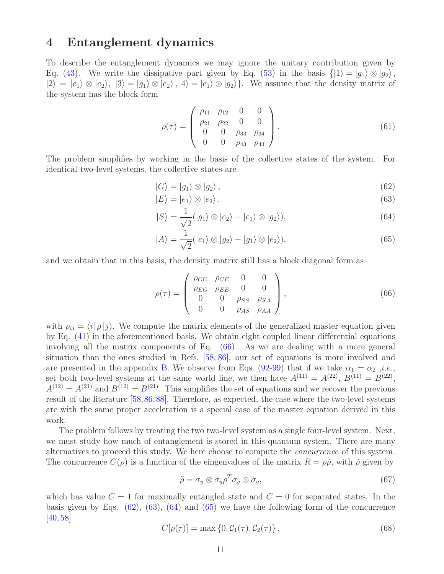### <span id="page-10-0"></span>4 Entanglement dynamics

To describe the entanglement dynamics we may ignore the unitary contribution given by Eq. [\(43\)](#page-7-2). We write the dissipative part given by Eq. [\(53\)](#page-9-3) in the basis  $\{|1\rangle = |g_1\rangle \otimes |g_2\rangle$ ,  $|2\rangle = |e_1\rangle \otimes |e_2\rangle$ ,  $|3\rangle = |g_1\rangle \otimes |e_2\rangle$ ,  $|4\rangle = |e_1\rangle \otimes |g_2\rangle$ . We assume that the density matrix of the system has the block form

$$
\rho(\tau) = \begin{pmatrix} \rho_{11} & \rho_{12} & 0 & 0 \\ \rho_{21} & \rho_{22} & 0 & 0 \\ 0 & 0 & \rho_{33} & \rho_{34} \\ 0 & 0 & \rho_{43} & \rho_{44} \end{pmatrix}.
$$
 (61)

The problem simplifies by working in the basis of the collective states of the system. For identical two-level systems, the collective states are

<span id="page-10-2"></span>
$$
|G\rangle = |g_1\rangle \otimes |g_2\rangle, \qquad (62)
$$

<span id="page-10-3"></span>
$$
|E\rangle = |e_1\rangle \otimes |e_2\rangle, \qquad (63)
$$

<span id="page-10-4"></span>
$$
|S\rangle = \frac{1}{\sqrt{2}}(|g_1\rangle \otimes |e_2\rangle + |e_1\rangle \otimes |g_2\rangle),\tag{64}
$$

<span id="page-10-5"></span>
$$
|A\rangle = \frac{1}{\sqrt{2}}(|e_1\rangle \otimes |g_2\rangle - |g_1\rangle \otimes |e_2\rangle),\tag{65}
$$

and we obtain that in this basis, the density matrix still has a block diagonal form as

<span id="page-10-1"></span>
$$
\rho(\tau) = \begin{pmatrix}\n\rho_{GG} & \rho_{GE} & 0 & 0 \\
\rho_{EG} & \rho_{EE} & 0 & 0 \\
0 & 0 & \rho_{SS} & \rho_{SA} \\
0 & 0 & \rho_{AS} & \rho_{AA}\n\end{pmatrix},
$$
\n(66)

with  $\rho_{ij} = \langle i | \rho | j \rangle$ . We compute the matrix elements of the generalized master equation given by Eq. [\(41\)](#page-7-1) in the aforementioned basis. We obtain eight coupled linear differential equations involving all the matrix components of Eq. [\(66\)](#page-10-1). As we are dealing with a more general situation than the ones studied in Refs. [\[58,](#page-24-2) [86\]](#page-26-4), our set of equations is more involved and are presented in the appendix [B.](#page-19-0) We observe from Eqs. [\(92-](#page-20-0)[99\)](#page-21-7) that if we take  $\alpha_1 = \alpha_2$ , *i.e.*, set both two-level systems at the same world line, we then have  $A^{(11)} = A^{(22)}$ ,  $B^{(11)} = B^{(22)}$ ,  $A^{(12)} = A^{(21)}$  and  $B^{(12)} = B^{(21)}$ . This simplifies the set of equations and we recover the previous result of the literature [\[58,](#page-24-2)[86,](#page-26-4)[88\]](#page-26-11). Therefore, as expected, the case where the two-level systems are with the same proper acceleration is a special case of the master equation derived in this work.

The problem follows by treating the two two-level system as a single four-level system. Next, we must study how much of entanglement is stored in this quantum system. There are many alternatives to proceed this study. We here choose to compute the *concurrence* of this system. The concurrence  $C(\rho)$  is a function of the eingenvalues of the matrix  $R = \rho \tilde{\rho}$ , with  $\tilde{\rho}$  given by

$$
\tilde{\rho} = \sigma_y \otimes \sigma_y \rho^T \sigma_y \otimes \sigma_y,\tag{67}
$$

which has value  $C = 1$  for maximally entangled state and  $C = 0$  for separated states. In the basis given by Eqs.  $(62)$ ,  $(63)$ ,  $(64)$  and  $(65)$  we have the following form of the concurrence [\[40,](#page-23-11) [58\]](#page-24-2)

<span id="page-10-6"></span>
$$
C[\rho(\tau)] = \max\{0, C_1(\tau), C_2(\tau)\},\tag{68}
$$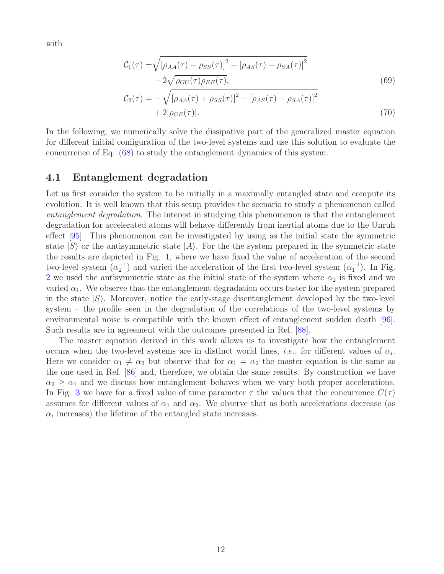with

$$
\mathcal{C}_1(\tau) = \sqrt{\left[\rho_{AA}(\tau) - \rho_{SS}(\tau)\right]^2 - \left[\rho_{AS}(\tau) - \rho_{SA}(\tau)\right]^2}
$$

$$
-2\sqrt{\rho_{GG}(\tau)\rho_{EE}(\tau)},
$$
(69)

$$
\mathcal{C}_{2}(\tau) = -\sqrt{[\rho_{AA}(\tau) + \rho_{SS}(\tau)]^{2} - [\rho_{AS}(\tau) + \rho_{SA}(\tau)]^{2}} + 2|\rho_{GE}(\tau)|.
$$
\n(70)

In the following, we numerically solve the dissipative part of the generalized master equation for different initial configuration of the two-level systems and use this solution to evaluate the concurrence of Eq. [\(68\)](#page-10-6) to study the entanglement dynamics of this system.

#### 4.1 Entanglement degradation

Let us first consider the system to be initially in a maximally entangled state and compute its evolution. It is well known that this setup provides the scenario to study a phenomenon called *entanglement degradation*. The interest in studying this phenomenon is that the entanglement degradation for accelerated atoms will behave differently from inertial atoms due to the Unruh effect [\[95\]](#page-27-1). This phenomenon can be investigated by using as the initial state the symmetric state  $|S\rangle$  or the antisymmetric state  $|A\rangle$ . For the the system prepared in the symmetric state the results are depicted in Fig. [1,](#page-12-0) where we have fixed the value of acceleration of the second two-level system  $(\alpha_2^{-1})$  and varied the acceleration of the first two-level system  $(\alpha_1^{-1})$ . In Fig. [2](#page-12-1) we used the antisymmetric state as the initial state of the system where  $\alpha_2$  is fixed and we varied  $\alpha_1$ . We observe that the entanglement degradation occurs faster for the system prepared in the state  $|S\rangle$ . Moreover, notice the early-stage disentanglement developed by the two-level system – the profile seen in the degradation of the correlations of the two-level systems by environmental noise is compatible with the known effect of entanglement sudden death [96]. Such results are in agreement with the outcomes presented in Ref. [\[88\]](#page-26-11).

The master equation derived in this work allows us to investigate how the entanglement occurs when the two-level systems are in distinct world lines, *i.e.*, for different values of  $\alpha_i$ . Here we consider  $\alpha_1 \neq \alpha_2$  but observe that for  $\alpha_1 = \alpha_2$  the master equation is the same as the one used in Ref. [\[86\]](#page-26-4) and, therefore, we obtain the same results. By construction we have  $\alpha_2 \geq \alpha_1$  and we discuss how entanglement behaves when we vary both proper accelerations. In Fig. [3](#page-13-0) we have for a fixed value of time parameter  $\tau$  the values that the concurrence  $C(\tau)$ assumes for different values of  $\alpha_1$  and  $\alpha_2$ . We observe that as both accelerations decrease (as  $\alpha_i$  increases) the lifetime of the entangled state increases.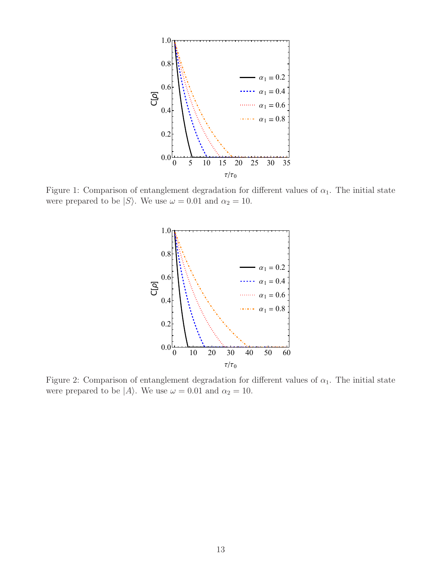<span id="page-12-0"></span>

<span id="page-12-1"></span>Figure 1: Comparison of entanglement degradation for different values of  $\alpha_1$ . The initial state were prepared to be  $|S\rangle$ . We use  $\omega = 0.01$  and  $\alpha_2 = 10$ .



Figure 2: Comparison of entanglement degradation for different values of  $\alpha_1$ . The initial state were prepared to be  $|A\rangle$ . We use  $\omega = 0.01$  and  $\alpha_2 = 10$ .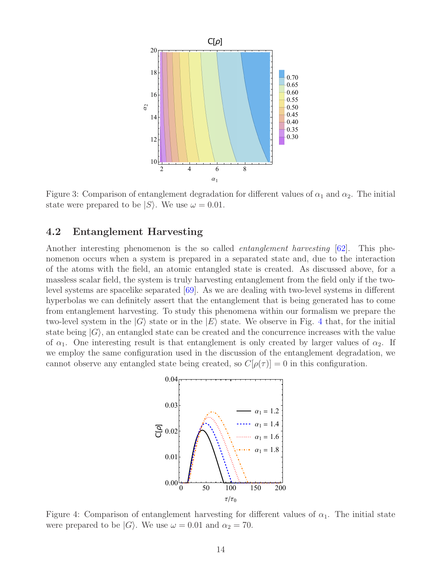<span id="page-13-0"></span>

Figure 3: Comparison of entanglement degradation for different values of  $\alpha_1$  and  $\alpha_2$ . The initial state were prepared to be  $|S\rangle$ . We use  $\omega = 0.01$ .

### 4.2 Entanglement Harvesting

Another interesting phenomenon is the so called *entanglement harvesting* [\[62\]](#page-25-1). This phenomenon occurs when a system is prepared in a separated state and, due to the interaction of the atoms with the field, an atomic entangled state is created. As discussed above, for a massless scalar field, the system is truly harvesting entanglement from the field only if the twolevel systems are spacelike separated [\[69\]](#page-25-3). As we are dealing with two-level systems in different hyperbolas we can definitely assert that the entanglement that is being generated has to come from entanglement harvesting. To study this phenomena within our formalism we prepare the two-level system in the  $|G\rangle$  state or in the  $|E\rangle$  state. We observe in Fig. [4](#page-13-1) that, for the initial state being  $|G\rangle$ , an entangled state can be created and the concurrence increases with the value of  $\alpha_1$ . One interesting result is that entanglement is only created by larger values of  $\alpha_2$ . If we employ the same configuration used in the discussion of the entanglement degradation, we cannot observe any entangled state being created, so  $C[\rho(\tau)] = 0$  in this configuration.

<span id="page-13-1"></span>

Figure 4: Comparison of entanglement harvesting for different values of  $\alpha_1$ . The initial state were prepared to be  $|G\rangle$ . We use  $\omega = 0.01$  and  $\alpha_2 = 70$ .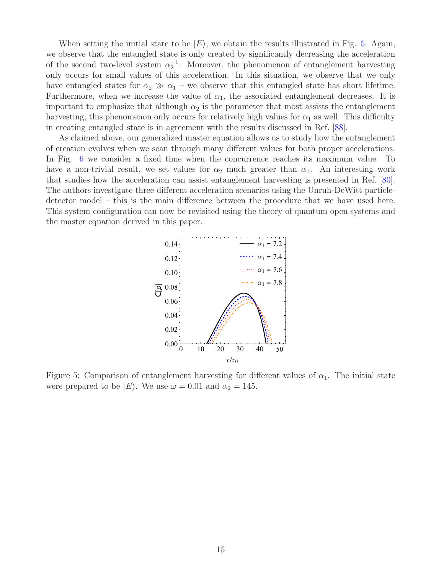When setting the initial state to be  $|E\rangle$ , we obtain the results illustrated in Fig. [5.](#page-14-0) Again, we observe that the entangled state is only created by significantly decreasing the acceleration of the second two-level system  $\alpha_2^{-1}$ . Moreover, the phenomenon of entanglement harvesting only occurs for small values of this acceleration. In this situation, we observe that we only have entangled states for  $\alpha_2 \gg \alpha_1$  – we observe that this entangled state has short lifetime. Furthermore, when we increase the value of  $\alpha_1$ , the associated entanglement decreases. It is important to emphasize that although  $\alpha_2$  is the parameter that most assists the entanglement harvesting, this phenomenon only occurs for relatively high values for  $\alpha_1$  as well. This difficulty in creating entangled state is in agreement with the results discussed in Ref. [\[88\]](#page-26-11).

<span id="page-14-0"></span>As claimed above, our generalized master equation allows us to study how the entanglement of creation evolves when we scan through many different values for both proper accelerations. In Fig. [6](#page-15-1) we consider a fixed time when the concurrence reaches its maximum value. To have a non-trivial result, we set values for  $\alpha_2$  much greater than  $\alpha_1$ . An interesting work that studies how the acceleration can assist entanglement harvesting is presented in Ref. [\[80\]](#page-26-12). The authors investigate three different acceleration scenarios using the Unruh-DeWitt particledetector model – this is the main difference between the procedure that we have used here. This system configuration can now be revisited using the theory of quantum open systems and the master equation derived in this paper.



Figure 5: Comparison of entanglement harvesting for different values of  $\alpha_1$ . The initial state were prepared to be  $|E\rangle$ . We use  $\omega = 0.01$  and  $\alpha_2 = 145$ .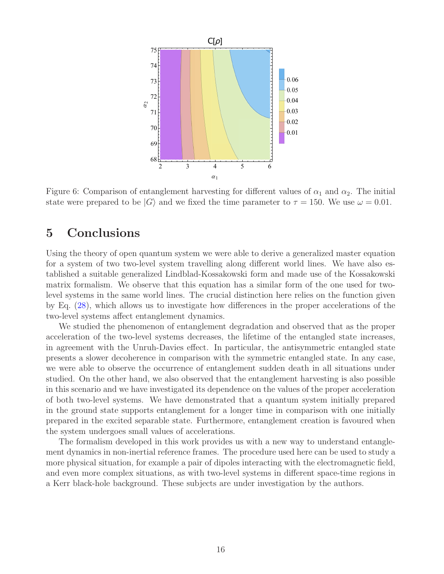<span id="page-15-1"></span>

Figure 6: Comparison of entanglement harvesting for different values of  $\alpha_1$  and  $\alpha_2$ . The initial state were prepared to be  $|G\rangle$  and we fixed the time parameter to  $\tau = 150$ . We use  $\omega = 0.01$ .

## <span id="page-15-0"></span>5 Conclusions

Using the theory of open quantum system we were able to derive a generalized master equation for a system of two two-level system travelling along different world lines. We have also established a suitable generalized Lindblad-Kossakowski form and made use of the Kossakowski matrix formalism. We observe that this equation has a similar form of the one used for twolevel systems in the same world lines. The crucial distinction here relies on the function given by Eq. [\(28\)](#page-5-1), which allows us to investigate how differences in the proper accelerations of the two-level systems affect entanglement dynamics.

We studied the phenomenon of entanglement degradation and observed that as the proper acceleration of the two-level systems decreases, the lifetime of the entangled state increases, in agreement with the Unruh-Davies effect. In particular, the antisymmetric entangled state presents a slower decoherence in comparison with the symmetric entangled state. In any case, we were able to observe the occurrence of entanglement sudden death in all situations under studied. On the other hand, we also observed that the entanglement harvesting is also possible in this scenario and we have investigated its dependence on the values of the proper acceleration of both two-level systems. We have demonstrated that a quantum system initially prepared in the ground state supports entanglement for a longer time in comparison with one initially prepared in the excited separable state. Furthermore, entanglement creation is favoured when the system undergoes small values of accelerations.

The formalism developed in this work provides us with a new way to understand entanglement dynamics in non-inertial reference frames. The procedure used here can be used to study a more physical situation, for example a pair of dipoles interacting with the electromagnetic field, and even more complex situations, as with two-level systems in different space-time regions in a Kerr black-hole background. These subjects are under investigation by the authors.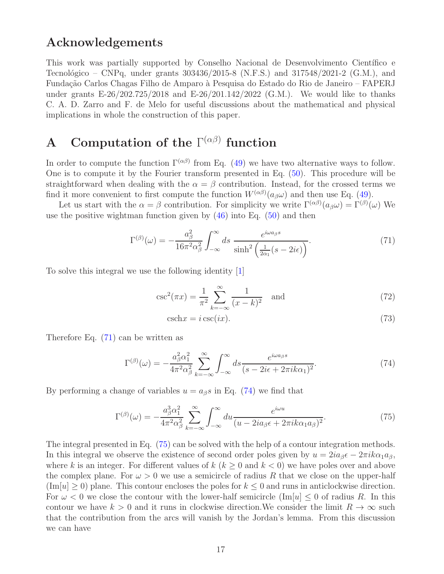## Acknowledgements

This work was partially supported by Conselho Nacional de Desenvolvimento Científico e Tecnológico – CNPq, under grants  $303436/2015$ -8 (N.F.S.) and  $317548/2021$ -2 (G.M.), and Fundação Carlos Chagas Filho de Amparo à Pesquisa do Estado do Rio de Janeiro – FAPERJ under grants E-26/202.725/2018 and E-26/201.142/2022 (G.M.). We would like to thanks C. A. D. Zarro and F. de Melo for useful discussions about the mathematical and physical implications in whole the construction of this paper.

# <span id="page-16-0"></span>A Computation of the  $\Gamma^{(\alpha\beta)}$  function

In order to compute the function  $\Gamma^{(\alpha\beta)}$  from Eq. [\(49\)](#page-8-3) we have two alternative ways to follow. One is to compute it by the Fourier transform presented in Eq. [\(50\)](#page-8-1). This procedure will be straightforward when dealing with the  $\alpha = \beta$  contribution. Instead, for the crossed terms we find it more convenient to first compute the function  $W^{(\alpha\beta)}(a_{\beta}\omega)$  and then use Eq. [\(49\)](#page-8-3).

Let us start with the  $\alpha = \beta$  contribution. For simplicity we write  $\Gamma^{(\alpha\beta)}(a_{\beta}\omega) = \Gamma^{(\beta)}(\omega)$  We use the positive wightman function given by  $(46)$  into Eq.  $(50)$  and then

$$
\Gamma^{(\beta)}(\omega) = -\frac{a_{\beta}^2}{16\pi^2 \alpha_{\beta}^2} \int_{-\infty}^{\infty} ds \frac{e^{i\omega a_{\beta}s}}{\sinh^2 \left(\frac{1}{2\alpha_1}(s-2i\epsilon)\right)}.
$$
(71)

To solve this integral we use the following identity [\[1\]](#page-21-0)

$$
\csc^2(\pi x) = \frac{1}{\pi^2} \sum_{k=-\infty}^{\infty} \frac{1}{(x-k)^2} \text{ and } (72)
$$

<span id="page-16-3"></span><span id="page-16-2"></span><span id="page-16-1"></span>
$$
\text{csch}x = i\,\text{csc}(ix). \tag{73}
$$

Therefore Eq. [\(71\)](#page-16-1) can be written as

$$
\Gamma^{(\beta)}(\omega) = -\frac{a_{\beta}^2 \alpha_1^2}{4\pi^2 \alpha_{\beta}^2} \sum_{k=-\infty}^{\infty} \int_{-\infty}^{\infty} ds \frac{e^{i\omega a_{\beta}s}}{(s - 2i\epsilon + 2\pi i k\alpha_1)^2}.
$$
\n(74)

By performing a change of variables  $u = a_{\beta} s$  in Eq. [\(74\)](#page-16-2) we find that

$$
\Gamma^{(\beta)}(\omega) = -\frac{a_{\beta}^{3}\alpha_{1}^{2}}{4\pi^{2}\alpha_{\beta}^{2}} \sum_{k=-\infty}^{\infty} \int_{-\infty}^{\infty} du \frac{e^{i\omega u}}{(u - 2ia_{\beta}\epsilon + 2\pi ik\alpha_{1}a_{\beta})^{2}}.
$$
\n(75)

The integral presented in Eq. [\(75\)](#page-16-3) can be solved with the help of a contour integration methods. In this integral we observe the existence of second order poles given by  $u = 2ia_8\epsilon - 2\pi i k \alpha_1 a_8$ , where k is an integer. For different values of  $k$  ( $k \geq 0$  and  $k < 0$ ) we have poles over and above the complex plane. For  $\omega > 0$  we use a semicircle of radius R that we close on the upper-half  $(\text{Im}[u] \geq 0)$  plane. This contour encloses the poles for  $k \leq 0$  and runs in anticlockwise direction. For  $\omega < 0$  we close the contour with the lower-half semicircle  $(\text{Im}[u] \leq 0$  of radius R. In this contour we have  $k > 0$  and it runs in clockwise direction. We consider the limit  $R \to \infty$  such that the contribution from the arcs will vanish by the Jordan's lemma. From this discussion we can have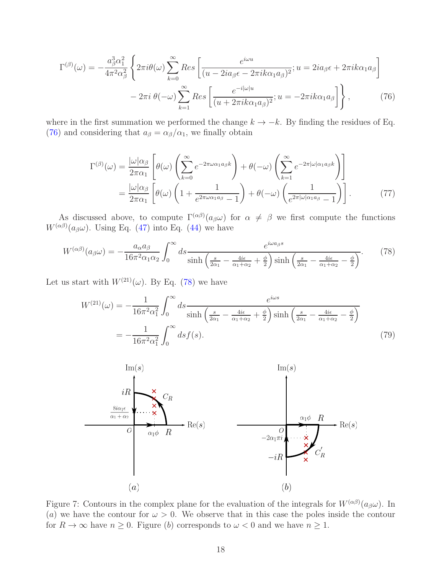$$
\Gamma^{(\beta)}(\omega) = -\frac{a_{\beta}^{3}\alpha_{1}^{2}}{4\pi^{2}\alpha_{\beta}^{2}} \left\{ 2\pi i\theta(\omega) \sum_{k=0}^{\infty} Res \left[ \frac{e^{i\omega u}}{(u - 2ia_{\beta}\epsilon - 2\pi ik\alpha_{1}a_{\beta})^{2}}; u = 2ia_{\beta}\epsilon + 2\pi ik\alpha_{1}a_{\beta} \right] - 2\pi i \theta(-\omega) \sum_{k=1}^{\infty} Res \left[ \frac{e^{-i|\omega|u}}{(u + 2\pi ik\alpha_{1}a_{\beta})^{2}}; u = -2\pi ik\alpha_{1}a_{\beta} \right] \right\},
$$
(76)

where in the first summation we performed the change  $k \to -k$ . By finding the residues of Eq. [\(76\)](#page-17-0) and considering that  $a_{\beta} = \alpha_{\beta}/\alpha_1$ , we finally obtain

<span id="page-17-0"></span>
$$
\Gamma^{(\beta)}(\omega) = \frac{|\omega|\alpha_{\beta}}{2\pi\alpha_{1}} \left[ \theta(\omega) \left( \sum_{k=0}^{\infty} e^{-2\pi\omega\alpha_{1}a_{\beta}k} \right) + \theta(-\omega) \left( \sum_{k=1}^{\infty} e^{-2\pi|\omega|\alpha_{1}a_{\beta}k} \right) \right]
$$

$$
= \frac{|\omega|\alpha_{\beta}}{2\pi\alpha_{1}} \left[ \theta(\omega) \left( 1 + \frac{1}{e^{2\pi\omega\alpha_{1}a_{\beta}} - 1} \right) + \theta(-\omega) \left( \frac{1}{e^{2\pi|\omega|\alpha_{1}a_{\beta}} - 1} \right) \right].
$$
 (77)

As discussed above, to compute  $\Gamma^{(\alpha\beta)}(a_{\beta}\omega)$  for  $\alpha \neq \beta$  we first compute the functions  $W^{(\alpha\beta)}(a_{\beta}\omega)$ . Using Eq. [\(47\)](#page-8-5) into Eq. [\(44\)](#page-7-3) we have

$$
W^{(\alpha\beta)}(a_{\beta}\omega) = -\frac{a_{\alpha}a_{\beta}}{16\pi^2\alpha_1\alpha_2} \int_0^{\infty} ds \frac{e^{i\omega a_{\beta}s}}{\sinh\left(\frac{s}{2\alpha_1} - \frac{4i\epsilon}{\alpha_1 + \alpha_2} + \frac{\phi}{2}\right) \sinh\left(\frac{s}{2\alpha_1} - \frac{4i\epsilon}{\alpha_1 + \alpha_2} - \frac{\phi}{2}\right)}.
$$
(78)

Let us start with  $W^{(21)}(\omega)$ . By Eq. [\(78\)](#page-17-1) we have

<span id="page-17-3"></span><span id="page-17-1"></span>
$$
W^{(21)}(\omega) = -\frac{1}{16\pi^2\alpha_1^2} \int_0^\infty ds \frac{e^{i\omega s}}{\sinh\left(\frac{s}{2\alpha_1} - \frac{4i\epsilon}{\alpha_1 + \alpha_2} + \frac{\phi}{2}\right) \sinh\left(\frac{s}{2\alpha_1} - \frac{4i\epsilon}{\alpha_1 + \alpha_2} - \frac{\phi}{2}\right)}
$$
  
= 
$$
-\frac{1}{16\pi^2\alpha_1^2} \int_0^\infty ds f(s).
$$
 (79)

<span id="page-17-2"></span>

Figure 7: Contours in the complex plane for the evaluation of the integrals for  $W^{(\alpha\beta)}(a_{\beta}\omega)$ . In (a) we have the contour for  $\omega > 0$ . We observe that in this case the poles inside the contour for  $R \to \infty$  have  $n \ge 0$ . Figure (b) corresponds to  $\omega < 0$  and we have  $n \ge 1$ .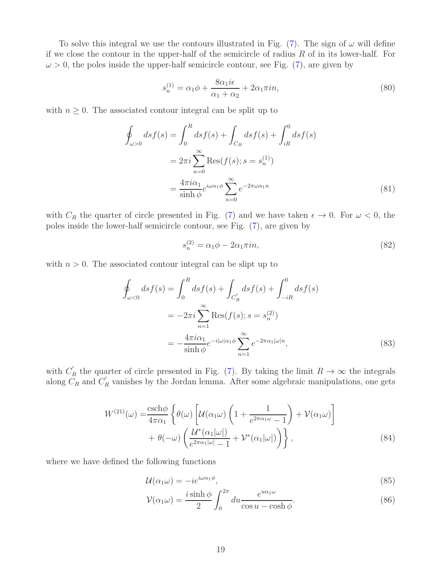To solve this integral we use the contours illustrated in Fig. [\(7\)](#page-17-2). The sign of  $\omega$  will define if we close the contour in the upper-half of the semicircle of radius  $R$  of in its lower-half. For  $\omega > 0$ , the poles inside the upper-half semicircle contour, see Fig. [\(7\)](#page-17-2), are given by

$$
s_n^{(1)} = \alpha_1 \phi + \frac{8\alpha_1 i\epsilon}{\alpha_1 + \alpha_2} + 2\alpha_1 \pi i n,\tag{80}
$$

with  $n \geq 0$ . The associated contour integral can be split up to

$$
\oint_{\omega>0} ds f(s) = \int_0^R ds f(s) + \int_{C_R} ds f(s) + \int_{iR}^0 ds f(s)
$$
\n
$$
= 2\pi i \sum_{n=0}^\infty \text{Res}(f(s); s = s_n^{(1)})
$$
\n
$$
= \frac{4\pi i \alpha_1}{\sinh \phi} e^{i\omega \alpha_1 \phi} \sum_{n=0}^\infty e^{-2\pi \omega \alpha_1 n} \tag{81}
$$

with  $C_R$  the quarter of circle presented in Fig. [\(7\)](#page-17-2) and we have taken  $\epsilon \to 0$ . For  $\omega < 0$ , the poles inside the lower-half semicircle contour, see Fig. [\(7\)](#page-17-2), are given by

$$
s_n^{(2)} = \alpha_1 \phi - 2\alpha_1 \pi i n,\tag{82}
$$

with  $n > 0$ . The associated contour integral can be slipt up to

$$
\oint_{\omega<0} ds f(s) = \int_0^R ds f(s) + \int_{C'_R} ds f(s) + \int_{-iR}^0 ds f(s)
$$
\n
$$
= -2\pi i \sum_{n=1}^\infty \text{Res}(f(s); s = s_n^{(2)})
$$
\n
$$
= -\frac{4\pi i \alpha_1}{\sinh \phi} e^{-i|\omega|\alpha_1 \phi} \sum_{n=1}^\infty e^{-2\pi \alpha_1 |\omega| n},
$$
\n(83)

with  $C'_R$  the quarter of circle presented in Fig. [\(7\)](#page-17-2). By taking the limit  $R \to \infty$  the integrals along  $C_R$  and  $C_R'$  vanishes by the Jordan lemma. After some algebraic manipulations, one gets

$$
W^{(21)}(\omega) = \frac{\operatorname{csch}\phi}{4\pi\alpha_1} \left\{ \theta(\omega) \left[ \mathcal{U}(\alpha_1 \omega) \left( 1 + \frac{1}{e^{2\pi\alpha_1 \omega} - 1} \right) + \mathcal{V}(\alpha_1 \omega) \right] \right. \\ \left. + \theta(-\omega) \left( \frac{\mathcal{U}^*(\alpha_1|\omega|)}{e^{2\pi\alpha_1|\omega|} - 1} + \mathcal{V}^*(\alpha_1|\omega|) \right) \right\},
$$
\n(84)

where we have defined the following functions

$$
\mathcal{U}(\alpha_1 \omega) = -ie^{i\omega \alpha_1 \phi},\tag{85}
$$

$$
\mathcal{V}(\alpha_1 \omega) = \frac{i \sinh \phi}{2} \int_0^{2\pi} du \frac{e^{u\alpha_1 \omega}}{\cos u - \cosh \phi}.
$$
 (86)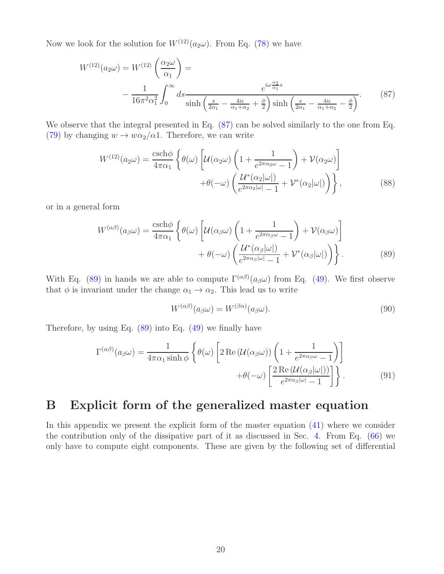Now we look for the solution for  $W^{(12)}(a_2\omega)$ . From Eq. [\(78\)](#page-17-1) we have

$$
W^{(12)}(a_2\omega) = W^{(12)}\left(\frac{\alpha_2\omega}{\alpha_1}\right) =
$$
  
 
$$
-\frac{1}{16\pi^2\alpha_1^2} \int_0^\infty ds \frac{e^{i\omega\frac{\alpha_2}{\alpha_1}s}}{\sinh\left(\frac{s}{2\alpha_1} - \frac{4i\epsilon}{\alpha_1 + \alpha_2} + \frac{\phi}{2}\right) \sinh\left(\frac{s}{2\alpha_1} - \frac{4i\epsilon}{\alpha_1 + \alpha_2} - \frac{\phi}{2}\right)}.
$$
 (87)

We observe that the integral presented in Eq.  $(87)$  can be solved similarly to the one from Eq. [\(79\)](#page-17-3) by changing  $w \to w\alpha_2/\alpha_1$ . Therefore, we can write

<span id="page-19-1"></span>
$$
W^{(12)}(a_2\omega) = \frac{\operatorname{csch}\phi}{4\pi\alpha_1} \left\{ \theta(\omega) \left[ \mathcal{U}(\alpha_2\omega) \left( 1 + \frac{1}{e^{2\pi\alpha_2\omega} - 1} \right) + \mathcal{V}(\alpha_2\omega) \right] + \theta(-\omega) \left( \frac{\mathcal{U}^*(\alpha_2|\omega|)}{e^{2\pi\alpha_2|\omega|} - 1} + \mathcal{V}^*(\alpha_2|\omega|) \right) \right\},
$$
\n(88)

or in a general form

$$
W^{(\alpha\beta)}(a_{\beta}\omega) = \frac{\operatorname{csch}\phi}{4\pi\alpha_1} \left\{ \theta(\omega) \left[ \mathcal{U}(\alpha_{\beta}\omega) \left( 1 + \frac{1}{e^{2\pi\alpha_{\beta}\omega} - 1} \right) + \mathcal{V}(\alpha_{\beta}\omega) \right] + \theta(-\omega) \left( \frac{\mathcal{U}^*(\alpha_{\beta}|\omega|)}{e^{2\pi\alpha_{\beta}|\omega|} - 1} + \mathcal{V}^*(\alpha_{\beta}|\omega|) \right) \right\}.
$$
 (89)

With Eq. [\(89\)](#page-19-2) in hands we are able to compute  $\Gamma^{(\alpha\beta)}(a_{\beta}\omega)$  from Eq. [\(49\)](#page-8-3). We first observe that  $\phi$  is invariant under the change  $\alpha_1 \rightarrow \alpha_2$ . This lead us to write

<span id="page-19-2"></span>
$$
W^{(\alpha\beta)}(a_{\beta}\omega) = W^{(\beta\alpha)}(a_{\beta}\omega). \tag{90}
$$

Therefore, by using Eq.  $(89)$  into Eq.  $(49)$  we finally have

$$
\Gamma^{(\alpha\beta)}(a_{\beta}\omega) = \frac{1}{4\pi\alpha_1 \sinh\phi} \left\{ \theta(\omega) \left[ 2 \operatorname{Re} \left( \mathcal{U}(\alpha_{\beta}\omega) \right) \left( 1 + \frac{1}{e^{2\pi\alpha_{\beta}\omega} - 1} \right) \right] + \theta(-\omega) \left[ \frac{2 \operatorname{Re} \left( \mathcal{U}(\alpha_{\beta}|\omega|) \right)}{e^{2\pi\alpha_{\beta}|\omega|} - 1} \right] \right\}.
$$
\n(91)

## <span id="page-19-0"></span>B Explicit form of the generalized master equation

In this appendix we present the explicit form of the master equation [\(41\)](#page-7-1) where we consider the contribution only of the dissipative part of it as discussed in Sec. [4.](#page-10-0) From Eq. [\(66\)](#page-10-1) we only have to compute eight components. These are given by the following set of differential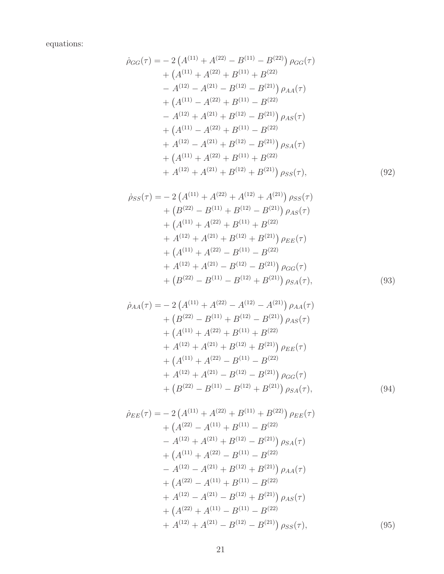equations:

$$
\dot{\rho}_{GG}(\tau) = -2\left(A^{(11)} + A^{(22)} - B^{(11)} - B^{(22)}\right)\rho_{GG}(\tau) \n+ \left(A^{(11)} + A^{(22)} + B^{(11)} + B^{(22)}\right) \n- A^{(12)} - A^{(21)} - B^{(12)} - B^{(21)}\right)\rho_{AA}(\tau) \n+ \left(A^{(11)} - A^{(22)} + B^{(11)} - B^{(22)}\right) \n- A^{(12)} + A^{(21)} + B^{(12)} - B^{(21)}\right)\rho_{AS}(\tau) \n+ \left(A^{(11)} - A^{(22)} + B^{(11)} - B^{(22)}\right) \n+ A^{(12)} - A^{(21)} + B^{(12)} - B^{(21)}\right)\rho_{SA}(\tau) \n+ \left(A^{(11)} + A^{(22)} + B^{(11)} + B^{(22)}\right) \n+ A^{(12)} + A^{(21)} + B^{(12)} + B^{(21)}\right)\rho_{SS}(\tau),
$$
\n(92)

<span id="page-20-0"></span>
$$
\dot{\rho}_{SS}(\tau) = -2 \left( A^{(11)} + A^{(22)} + A^{(12)} + A^{(21)} \right) \rho_{SS}(\tau) \n+ \left( B^{(22)} - B^{(11)} + B^{(12)} - B^{(21)} \right) \rho_{AS}(\tau) \n+ \left( A^{(11)} + A^{(22)} + B^{(11)} + B^{(22)} \right) \n+ A^{(12)} + A^{(21)} + B^{(12)} + B^{(21)} \right) \rho_{EE}(\tau) \n+ \left( A^{(11)} + A^{(22)} - B^{(11)} - B^{(22)} \right) \n+ A^{(12)} + A^{(21)} - B^{(12)} - B^{(21)} \right) \rho_{GG}(\tau) \n+ \left( B^{(22)} - B^{(11)} - B^{(12)} + B^{(21)} \right) \rho_{SA}(\tau),
$$
\n(93)

$$
\dot{\rho}_{AA}(\tau) = -2 \left( A^{(11)} + A^{(22)} - A^{(12)} - A^{(21)} \right) \rho_{AA}(\tau) \n+ \left( B^{(22)} - B^{(11)} + B^{(12)} - B^{(21)} \right) \rho_{AS}(\tau) \n+ \left( A^{(11)} + A^{(22)} + B^{(11)} + B^{(22)} \n+ A^{(12)} + A^{(21)} + B^{(12)} + B^{(21)} \right) \rho_{EE}(\tau) \n+ \left( A^{(11)} + A^{(22)} - B^{(11)} - B^{(22)} \n+ A^{(12)} + A^{(21)} - B^{(12)} - B^{(21)} \right) \rho_{GG}(\tau) \n+ \left( B^{(22)} - B^{(11)} - B^{(12)} + B^{(21)} \right) \rho_{SA}(\tau),
$$
\n(94)

$$
\dot{\rho}_{EE}(\tau) = -2\left(A^{(11)} + A^{(22)} + B^{(11)} + B^{(22)}\right)\rho_{EE}(\tau) \n+ \left(A^{(22)} - A^{(11)} + B^{(11)} - B^{(22)}\right) \n- A^{(12)} + A^{(21)} + B^{(12)} - B^{(21)}\right)\rho_{SA}(\tau) \n+ \left(A^{(11)} + A^{(22)} - B^{(11)} - B^{(22)}\right) \n- A^{(12)} - A^{(21)} + B^{(12)} + B^{(21)}\right)\rho_{AA}(\tau) \n+ \left(A^{(22)} - A^{(11)} + B^{(11)} - B^{(22)}\right) \n+ A^{(12)} - A^{(21)} - B^{(12)} + B^{(21)}\right)\rho_{AS}(\tau) \n+ \left(A^{(22)} + A^{(11)} - B^{(11)} - B^{(22)}\right) \n+ A^{(12)} + A^{(21)} - B^{(12)} - B^{(21)}\right)\rho_{SS}(\tau),
$$
\n(95)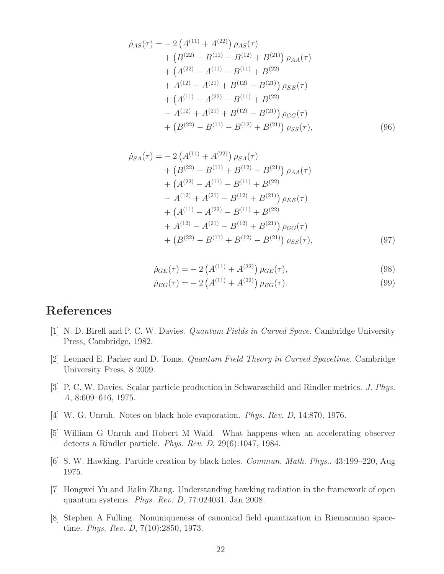$$
\dot{\rho}_{AS}(\tau) = -2\left(A^{(11)} + A^{(22)}\right)\rho_{AS}(\tau) \n+ \left(B^{(22)} - B^{(11)} - B^{(12)} + B^{(21)}\right)\rho_{AA}(\tau) \n+ \left(A^{(22)} - A^{(11)} - B^{(11)} + B^{(22)}\right) \n+ A^{(12)} - A^{(21)} + B^{(12)} - B^{(21)}\rho_{EE}(\tau) \n+ \left(A^{(11)} - A^{(22)} - B^{(11)} + B^{(22)}\right) \n- A^{(12)} + A^{(21)} + B^{(12)} - B^{(21)}\rho_{GG}(\tau) \n+ \left(B^{(22)} - B^{(11)} - B^{(12)} + B^{(21)}\right)\rho_{SS}(\tau),
$$
\n(96)

$$
\dot{\rho}_{SA}(\tau) = -2\left(A^{(11)} + A^{(22)}\right)\rho_{SA}(\tau) \n+ \left(B^{(22)} - B^{(11)} + B^{(12)} - B^{(21)}\right)\rho_{AA}(\tau) \n+ \left(A^{(22)} - A^{(11)} - B^{(11)} + B^{(22)}\right) \n- A^{(12)} + A^{(21)} - B^{(12)} + B^{(21)}\rho_{EE}(\tau) \n+ \left(A^{(11)} - A^{(22)} - B^{(11)} + B^{(22)}\right) \n+ A^{(12)} - A^{(21)} - B^{(12)} + B^{(21)}\rho_{GG}(\tau) \n+ \left(B^{(22)} - B^{(11)} + B^{(12)} - B^{(21)}\right)\rho_{SS}(\tau),
$$
\n(97)

$$
\dot{\rho}_{GE}(\tau) = -2\left(A^{(11)} + A^{(22)}\right)\rho_{GE}(\tau),\tag{98}
$$

<span id="page-21-7"></span>
$$
\dot{\rho}_{EG}(\tau) = -2\left(A^{(11)} + A^{(22)}\right)\rho_{EG}(\tau). \tag{99}
$$

## <span id="page-21-0"></span>References

- <span id="page-21-1"></span>[1] N. D. Birell and P. C. W. Davies. *Quantum Fields in Curved Space*. Cambridge University Press, Cambridge, 1982.
- <span id="page-21-2"></span>[2] Leonard E. Parker and D. Toms. *Quantum Field Theory in Curved Spacetime*. Cambridge University Press, 8 2009.
- [3] P. C. W. Davies. Scalar particle production in Schwarzschild and Rindler metrics. *J. Phys. A*, 8:609–616, 1975.
- <span id="page-21-3"></span>[4] W. G. Unruh. Notes on black hole evaporation. *Phys. Rev. D*, 14:870, 1976.
- <span id="page-21-4"></span>[5] William G Unruh and Robert M Wald. What happens when an accelerating observer detects a Rindler particle. *Phys. Rev. D*, 29(6):1047, 1984.
- <span id="page-21-5"></span>[6] S. W. Hawking. Particle creation by black holes. *Commun. Math. Phys.*, 43:199–220, Aug 1975.
- [7] Hongwei Yu and Jialin Zhang. Understanding hawking radiation in the framework of open quantum systems. *Phys. Rev. D*, 77:024031, Jan 2008.
- <span id="page-21-6"></span>[8] Stephen A Fulling. Nonuniqueness of canonical field quantization in Riemannian spacetime. *Phys. Rev. D*, 7(10):2850, 1973.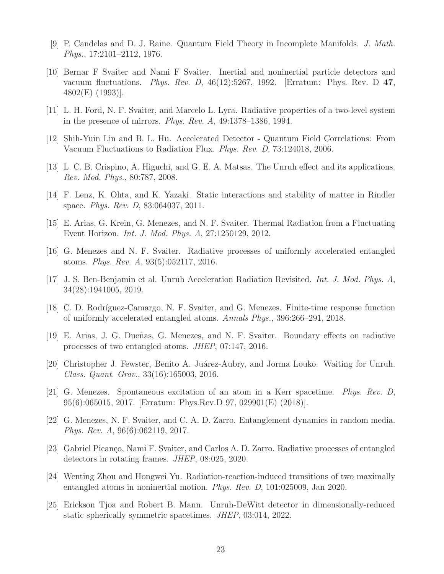- [9] P. Candelas and D. J. Raine. Quantum Field Theory in Incomplete Manifolds. *J. Math. Phys.*, 17:2101–2112, 1976.
- [10] Bernar F Svaiter and Nami F Svaiter. Inertial and noninertial particle detectors and vacuum fluctuations. *Phys. Rev. D*, 46(12):5267, 1992. [Erratum: Phys. Rev. D 47, 4802(E) (1993)].
- [11] L. H. Ford, N. F. Svaiter, and Marcelo L. Lyra. Radiative properties of a two-level system in the presence of mirrors. *Phys. Rev. A*, 49:1378–1386, 1994.
- [12] Shih-Yuin Lin and B. L. Hu. Accelerated Detector Quantum Field Correlations: From Vacuum Fluctuations to Radiation Flux. *Phys. Rev. D*, 73:124018, 2006.
- [13] L. C. B. Crispino, A. Higuchi, and G. E. A. Matsas. The Unruh effect and its applications. *Rev. Mod. Phys.*, 80:787, 2008.
- [14] F. Lenz, K. Ohta, and K. Yazaki. Static interactions and stability of matter in Rindler space. *Phys. Rev. D*, 83:064037, 2011.
- [15] E. Arias, G. Krein, G. Menezes, and N. F. Svaiter. Thermal Radiation from a Fluctuating Event Horizon. *Int. J. Mod. Phys. A*, 27:1250129, 2012.
- [16] G. Menezes and N. F. Svaiter. Radiative processes of uniformly accelerated entangled atoms. *Phys. Rev. A*, 93(5):052117, 2016.
- [17] J. S. Ben-Benjamin et al. Unruh Acceleration Radiation Revisited. *Int. J. Mod. Phys. A*, 34(28):1941005, 2019.
- [18] C. D. Rodríguez-Camargo, N. F. Svaiter, and G. Menezes. Finite-time response function of uniformly accelerated entangled atoms. *Annals Phys.*, 396:266–291, 2018.
- [19] E. Arias, J. G. Dueñas, G. Menezes, and N. F. Svaiter. Boundary effects on radiative processes of two entangled atoms. *JHEP*, 07:147, 2016.
- [20] Christopher J. Fewster, Benito A. Juárez-Aubry, and Jorma Louko. Waiting for Unruh. *Class. Quant. Grav.*, 33(16):165003, 2016.
- [21] G. Menezes. Spontaneous excitation of an atom in a Kerr spacetime. *Phys. Rev. D*, 95(6):065015, 2017. [Erratum: Phys.Rev.D 97, 029901(E) (2018)].
- [22] G. Menezes, N. F. Svaiter, and C. A. D. Zarro. Entanglement dynamics in random media. *Phys. Rev. A*, 96(6):062119, 2017.
- [23] Gabriel Picanço, Nami F. Svaiter, and Carlos A. D. Zarro. Radiative processes of entangled detectors in rotating frames. *JHEP*, 08:025, 2020.
- [24] Wenting Zhou and Hongwei Yu. Radiation-reaction-induced transitions of two maximally entangled atoms in noninertial motion. *Phys. Rev. D*, 101:025009, Jan 2020.
- [25] Erickson Tjoa and Robert B. Mann. Unruh-DeWitt detector in dimensionally-reduced static spherically symmetric spacetimes. *JHEP*, 03:014, 2022.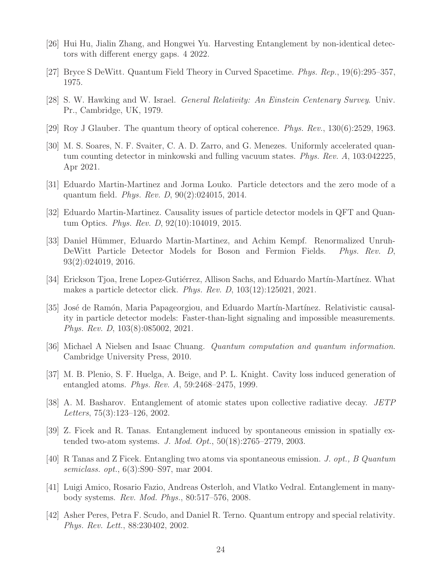- <span id="page-23-1"></span><span id="page-23-0"></span>[26] Hui Hu, Jialin Zhang, and Hongwei Yu. Harvesting Entanglement by non-identical detectors with different energy gaps. 4 2022.
- <span id="page-23-2"></span>[27] Bryce S DeWitt. Quantum Field Theory in Curved Spacetime. *Phys. Rep.*, 19(6):295–357, 1975.
- <span id="page-23-3"></span>[28] S. W. Hawking and W. Israel. *General Relativity: An Einstein Centenary Survey*. Univ. Pr., Cambridge, UK, 1979.
- <span id="page-23-4"></span>[29] Roy J Glauber. The quantum theory of optical coherence. *Phys. Rev.*, 130(6):2529, 1963.
- [30] M. S. Soares, N. F. Svaiter, C. A. D. Zarro, and G. Menezes. Uniformly accelerated quantum counting detector in minkowski and fulling vacuum states. *Phys. Rev. A*, 103:042225, Apr 2021.
- <span id="page-23-5"></span>[31] Eduardo Martin-Martinez and Jorma Louko. Particle detectors and the zero mode of a quantum field. *Phys. Rev. D*, 90(2):024015, 2014.
- [32] Eduardo Martin-Martinez. Causality issues of particle detector models in QFT and Quantum Optics. *Phys. Rev. D*, 92(10):104019, 2015.
- [33] Daniel Hümmer, Eduardo Martin-Martinez, and Achim Kempf. Renormalized Unruh-DeWitt Particle Detector Models for Boson and Fermion Fields. *Phys. Rev. D*, 93(2):024019, 2016.
- [34] Erickson Tjoa, Irene Lopez-Gutiérrez, Allison Sachs, and Eduardo Martín-Martínez. What makes a particle detector click. *Phys. Rev. D*, 103(12):125021, 2021.
- <span id="page-23-6"></span>[35] José de Ramón, Maria Papageorgiou, and Eduardo Martín-Martínez. Relativistic causality in particle detector models: Faster-than-light signaling and impossible measurements. *Phys. Rev. D*, 103(8):085002, 2021.
- <span id="page-23-8"></span><span id="page-23-7"></span>[36] Michael A Nielsen and Isaac Chuang. *Quantum computation and quantum information*. Cambridge University Press, 2010.
- [37] M. B. Plenio, S. F. Huelga, A. Beige, and P. L. Knight. Cavity loss induced generation of entangled atoms. *Phys. Rev. A*, 59:2468–2475, 1999.
- [38] A. M. Basharov. Entanglement of atomic states upon collective radiative decay. *JETP Letters*, 75(3):123–126, 2002.
- [39] Z. Ficek and R. Tanas. Entanglement induced by spontaneous emission in spatially extended two-atom systems. *J. Mod. Opt.*, 50(18):2765–2779, 2003.
- <span id="page-23-11"></span>[40] R Tanas and Z Ficek. Entangling two atoms via spontaneous emission. *J. opt., B Quantum semiclass. opt.*, 6(3):S90–S97, mar 2004.
- <span id="page-23-10"></span><span id="page-23-9"></span>[41] Luigi Amico, Rosario Fazio, Andreas Osterloh, and Vlatko Vedral. Entanglement in manybody systems. *Rev. Mod. Phys.*, 80:517–576, 2008.
- [42] Asher Peres, Petra F. Scudo, and Daniel R. Terno. Quantum entropy and special relativity. *Phys. Rev. Lett.*, 88:230402, 2002.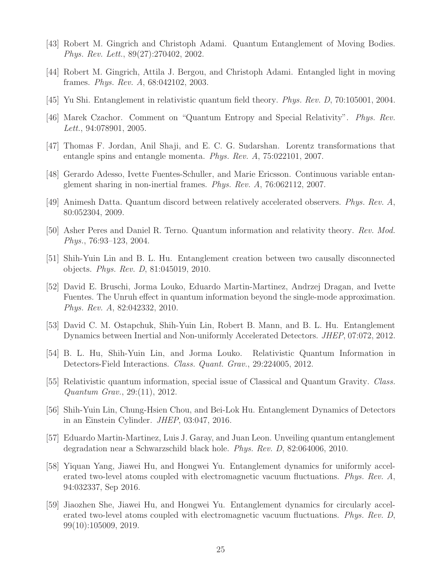- [43] Robert M. Gingrich and Christoph Adami. Quantum Entanglement of Moving Bodies. *Phys. Rev. Lett.*, 89(27):270402, 2002.
- [44] Robert M. Gingrich, Attila J. Bergou, and Christoph Adami. Entangled light in moving frames. *Phys. Rev. A*, 68:042102, 2003.
- [45] Yu Shi. Entanglement in relativistic quantum field theory. *Phys. Rev. D*, 70:105001, 2004.
- [46] Marek Czachor. Comment on "Quantum Entropy and Special Relativity". *Phys. Rev. Lett.*, 94:078901, 2005.
- [47] Thomas F. Jordan, Anil Shaji, and E. C. G. Sudarshan. Lorentz transformations that entangle spins and entangle momenta. *Phys. Rev. A*, 75:022101, 2007.
- [48] Gerardo Adesso, Ivette Fuentes-Schuller, and Marie Ericsson. Continuous variable entanglement sharing in non-inertial frames. *Phys. Rev. A*, 76:062112, 2007.
- [49] Animesh Datta. Quantum discord between relatively accelerated observers. *Phys. Rev. A*, 80:052304, 2009.
- [50] Asher Peres and Daniel R. Terno. Quantum information and relativity theory. *Rev. Mod. Phys.*, 76:93–123, 2004.
- [51] Shih-Yuin Lin and B. L. Hu. Entanglement creation between two causally disconnected objects. *Phys. Rev. D*, 81:045019, 2010.
- [52] David E. Bruschi, Jorma Louko, Eduardo Martin-Martinez, Andrzej Dragan, and Ivette Fuentes. The Unruh effect in quantum information beyond the single-mode approximation. *Phys. Rev. A*, 82:042332, 2010.
- [53] David C. M. Ostapchuk, Shih-Yuin Lin, Robert B. Mann, and B. L. Hu. Entanglement Dynamics between Inertial and Non-uniformly Accelerated Detectors. *JHEP*, 07:072, 2012.
- [54] B. L. Hu, Shih-Yuin Lin, and Jorma Louko. Relativistic Quantum Information in Detectors-Field Interactions. *Class. Quant. Grav.*, 29:224005, 2012.
- [55] Relativistic quantum information, special issue of Classical and Quantum Gravity. *Class. Quantum Grav.*, 29:(11), 2012.
- <span id="page-24-1"></span><span id="page-24-0"></span>[56] Shih-Yuin Lin, Chung-Hsien Chou, and Bei-Lok Hu. Entanglement Dynamics of Detectors in an Einstein Cylinder. *JHEP*, 03:047, 2016.
- <span id="page-24-2"></span>[57] Eduardo Martin-Martinez, Luis J. Garay, and Juan Leon. Unveiling quantum entanglement degradation near a Schwarzschild black hole. *Phys. Rev. D*, 82:064006, 2010.
- [58] Yiquan Yang, Jiawei Hu, and Hongwei Yu. Entanglement dynamics for uniformly accelerated two-level atoms coupled with electromagnetic vacuum fluctuations. *Phys. Rev. A*, 94:032337, Sep 2016.
- [59] Jiaozhen She, Jiawei Hu, and Hongwei Yu. Entanglement dynamics for circularly accelerated two-level atoms coupled with electromagnetic vacuum fluctuations. *Phys. Rev. D*, 99(10):105009, 2019.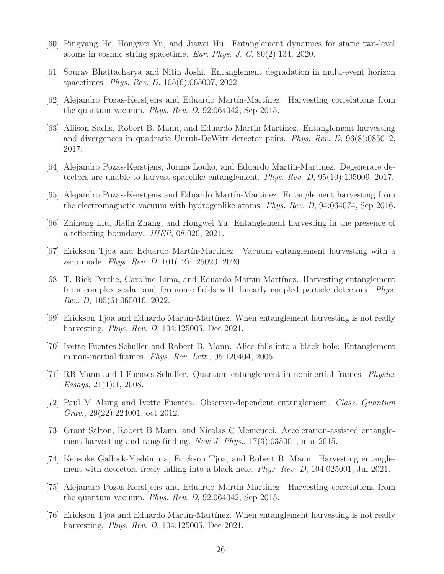- <span id="page-25-0"></span>[60] Pingyang He, Hongwei Yu, and Jiawei Hu. Entanglement dynamics for static two-level atoms in cosmic string spacetime. *Eur. Phys. J. C*, 80(2):134, 2020.
- <span id="page-25-1"></span>[61] Sourav Bhattacharya and Nitin Joshi. Entanglement degradation in multi-event horizon spacetimes. *Phys. Rev. D*, 105(6):065007, 2022.
- [62] Alejandro Pozas-Kerstjens and Eduardo Mart´ın-Mart´ınez. Harvesting correlations from the quantum vacuum. *Phys. Rev. D*, 92:064042, Sep 2015.
- [63] Allison Sachs, Robert B. Mann, and Eduardo Martin-Martinez. Entanglement harvesting and divergences in quadratic Unruh-DeWitt detector pairs. *Phys. Rev. D*, 96(8):085012, 2017.
- [64] Alejandro Pozas-Kerstjens, Jorma Louko, and Eduardo Martin-Martinez. Degenerate detectors are unable to harvest spacelike entanglement. *Phys. Rev. D*, 95(10):105009, 2017.
- [65] Alejandro Pozas-Kerstjens and Eduardo Martín-Martínez. Entanglement harvesting from the electromagnetic vacuum with hydrogenlike atoms. *Phys. Rev. D*, 94:064074, Sep 2016.
- [66] Zhihong Liu, Jialin Zhang, and Hongwei Yu. Entanglement harvesting in the presence of a reflecting boundary. *JHEP*, 08:020, 2021.
- [67] Erickson Tjoa and Eduardo Martín-Martínez. Vacuum entanglement harvesting with a zero mode. *Phys. Rev. D*, 101(12):125020, 2020.
- <span id="page-25-2"></span>[68] T. Rick Perche, Caroline Lima, and Eduardo Martín-Martínez. Harvesting entanglement from complex scalar and fermionic fields with linearly coupled particle detectors. *Phys. Rev. D*, 105(6):065016, 2022.
- <span id="page-25-4"></span><span id="page-25-3"></span>[69] Erickson Tjoa and Eduardo Mart´ın-Mart´ınez. When entanglement harvesting is not really harvesting. *Phys. Rev. D*, 104:125005, Dec 2021.
- [70] Ivette Fuentes-Schuller and Robert B. Mann. Alice falls into a black hole: Entanglement in non-inertial frames. *Phys. Rev. Lett.*, 95:120404, 2005.
- [71] RB Mann and I Fuentes-Schuller. Quantum entanglement in noninertial frames. *Physics Essays*, 21(1):1, 2008.
- [72] Paul M Alsing and Ivette Fuentes. Observer-dependent entanglement. *Class. Quantum Grav.*, 29(22):224001, oct 2012.
- [73] Grant Salton, Robert B Mann, and Nicolas C Menicucci. Acceleration-assisted entanglement harvesting and rangefinding. *New J. Phys.*, 17(3):035001, mar 2015.
- [74] Kensuke Gallock-Yoshimura, Erickson Tjoa, and Robert B. Mann. Harvesting entanglement with detectors freely falling into a black hole. *Phys. Rev. D*, 104:025001, Jul 2021.
- [75] Alejandro Pozas-Kerstjens and Eduardo Mart´ın-Mart´ınez. Harvesting correlations from the quantum vacuum. *Phys. Rev. D*, 92:064042, Sep 2015.
- [76] Erickson Tjoa and Eduardo Mart´ın-Mart´ınez. When entanglement harvesting is not really harvesting. *Phys. Rev. D*, 104:125005, Dec 2021.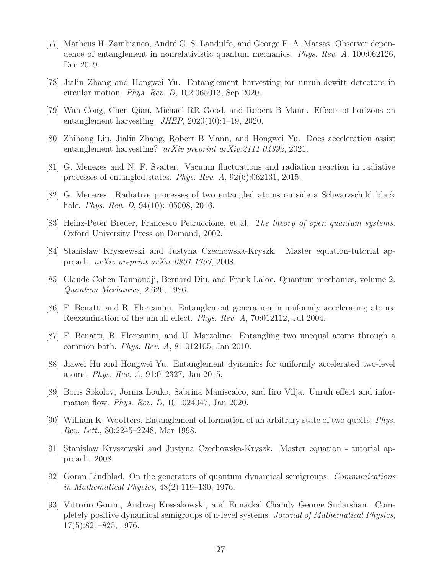- [77] Matheus H. Zambianco, André G. S. Landulfo, and George E. A. Matsas. Observer dependence of entanglement in nonrelativistic quantum mechanics. *Phys. Rev. A*, 100:062126, Dec 2019.
- [78] Jialin Zhang and Hongwei Yu. Entanglement harvesting for unruh-dewitt detectors in circular motion. *Phys. Rev. D*, 102:065013, Sep 2020.
- <span id="page-26-12"></span>[79] Wan Cong, Chen Qian, Michael RR Good, and Robert B Mann. Effects of horizons on entanglement harvesting. *JHEP*, 2020(10):1–19, 2020.
- [80] Zhihong Liu, Jialin Zhang, Robert B Mann, and Hongwei Yu. Does acceleration assist entanglement harvesting? *arXiv preprint arXiv:2111.04392*, 2021.
- <span id="page-26-0"></span>[81] G. Menezes and N. F. Svaiter. Vacuum fluctuations and radiation reaction in radiative processes of entangled states. *Phys. Rev. A*, 92(6):062131, 2015.
- <span id="page-26-1"></span>[82] G. Menezes. Radiative processes of two entangled atoms outside a Schwarzschild black hole. *Phys. Rev. D*, 94(10):105008, 2016.
- <span id="page-26-2"></span>[83] Heinz-Peter Breuer, Francesco Petruccione, et al. *The theory of open quantum systems*. Oxford University Press on Demand, 2002.
- <span id="page-26-3"></span>[84] Stanislaw Kryszewski and Justyna Czechowska-Kryszk. Master equation-tutorial approach. *arXiv preprint arXiv:0801.1757*, 2008.
- <span id="page-26-4"></span>[85] Claude Cohen-Tannoudji, Bernard Diu, and Frank Laloe. Quantum mechanics, volume 2. *Quantum Mechanics*, 2:626, 1986.
- <span id="page-26-5"></span>[86] F. Benatti and R. Floreanini. Entanglement generation in uniformly accelerating atoms: Reexamination of the unruh effect. *Phys. Rev. A*, 70:012112, Jul 2004.
- <span id="page-26-11"></span>[87] F. Benatti, R. Floreanini, and U. Marzolino. Entangling two unequal atoms through a common bath. *Phys. Rev. A*, 81:012105, Jan 2010.
- <span id="page-26-6"></span>[88] Jiawei Hu and Hongwei Yu. Entanglement dynamics for uniformly accelerated two-level atoms. *Phys. Rev. A*, 91:012327, Jan 2015.
- <span id="page-26-7"></span>[89] Boris Sokolov, Jorma Louko, Sabrina Maniscalco, and Iiro Vilja. Unruh effect and information flow. *Phys. Rev. D*, 101:024047, Jan 2020.
- <span id="page-26-8"></span>[90] William K. Wootters. Entanglement of formation of an arbitrary state of two qubits. *Phys. Rev. Lett.*, 80:2245–2248, Mar 1998.
- [91] Stanislaw Kryszewski and Justyna Czechowska-Kryszk. Master equation tutorial approach. 2008.
- <span id="page-26-9"></span>[92] Goran Lindblad. On the generators of quantum dynamical semigroups. *Communications in Mathematical Physics*, 48(2):119–130, 1976.
- <span id="page-26-10"></span>[93] Vittorio Gorini, Andrzej Kossakowski, and Ennackal Chandy George Sudarshan. Completely positive dynamical semigroups of n-level systems. *Journal of Mathematical Physics*, 17(5):821–825, 1976.